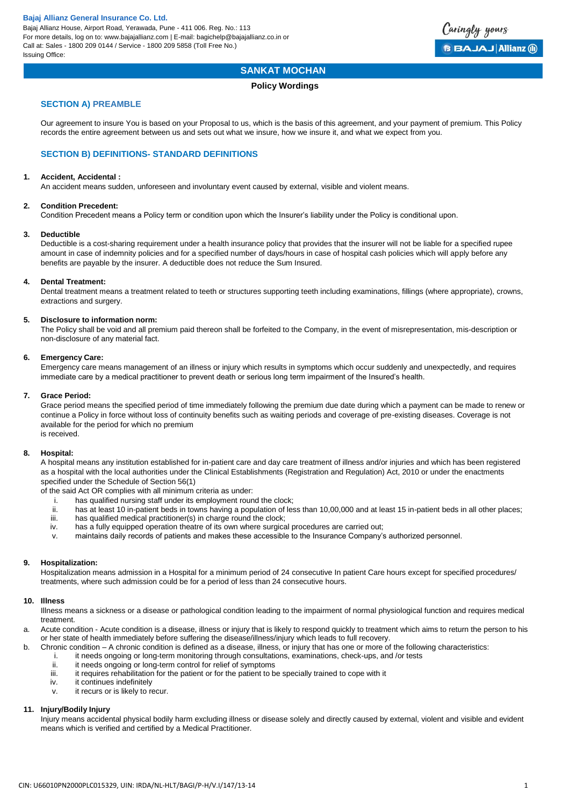Bajaj Allianz House, Airport Road, Yerawada, Pune - 411 006. Reg. No.: 113 For more details, log on to: www.bajajallianz.com | E-mail: bagichelp@bajajallianz.co.in or Call at: Sales - 1800 209 0144 / Service - 1800 209 5858 (Toll Free No.) Issuing Office:



## **SANKAT MOCHAN**

## **Policy Wordings**

## **SECTION A) PREAMBLE**

Our agreement to insure You is based on your Proposal to us, which is the basis of this agreement, and your payment of premium. This Policy records the entire agreement between us and sets out what we insure, how we insure it, and what we expect from you.

## **SECTION B) DEFINITIONS- STANDARD DEFINITIONS**

## **1. Accident, Accidental :**

An accident means sudden, unforeseen and involuntary event caused by external, visible and violent means.

## **2. Condition Precedent:**

Condition Precedent means a Policy term or condition upon which the Insurer's liability under the Policy is conditional upon.

## **3. Deductible**

Deductible is a cost-sharing requirement under a health insurance policy that provides that the insurer will not be liable for a specified rupee amount in case of indemnity policies and for a specified number of days/hours in case of hospital cash policies which will apply before any benefits are payable by the insurer. A deductible does not reduce the Sum Insured.

## **4. Dental Treatment:**

Dental treatment means a treatment related to teeth or structures supporting teeth including examinations, fillings (where appropriate), crowns, extractions and surgery.

## **5. Disclosure to information norm:**

The Policy shall be void and all premium paid thereon shall be forfeited to the Company, in the event of misrepresentation, mis-description or non-disclosure of any material fact.

## **6. Emergency Care:**

Emergency care means management of an illness or injury which results in symptoms which occur suddenly and unexpectedly, and requires immediate care by a medical practitioner to prevent death or serious long term impairment of the Insured's health.

## **7. Grace Period:**

Grace period means the specified period of time immediately following the premium due date during which a payment can be made to renew or continue a Policy in force without loss of continuity benefits such as waiting periods and coverage of pre-existing diseases. Coverage is not available for the period for which no premium is received.

## **8. Hospital:**

A hospital means any institution established for in-patient care and day care treatment of illness and/or injuries and which has been registered as a hospital with the local authorities under the Clinical Establishments (Registration and Regulation) Act, 2010 or under the enactments specified under the Schedule of Section 56(1)

of the said Act OR complies with all minimum criteria as under:

- i. has qualified nursing staff under its employment round the clock;<br>ii has at least 10 in-patient heds in towns having a population of least
- ii. has at least 10 in-patient beds in towns having a population of less than 10,00,000 and at least 15 in-patient beds in all other places;<br>iii. has qualified medical practitioner(s) in charge round the clock;
- has qualified medical practitioner(s) in charge round the clock;
- iv. has a fully equipped operation theatre of its own where surgical procedures are carried out;
- v. maintains daily records of patients and makes these accessible to the Insurance Company's authorized personnel.

## **9. Hospitalization:**

Hospitalization means admission in a Hospital for a minimum period of 24 consecutive In patient Care hours except for specified procedures/ treatments, where such admission could be for a period of less than 24 consecutive hours.

## **10. Illness**

Illness means a sickness or a disease or pathological condition leading to the impairment of normal physiological function and requires medical treatment.

a. Acute condition - Acute condition is a disease, illness or injury that is likely to respond quickly to treatment which aims to return the person to his or her state of health immediately before suffering the disease/illness/injury which leads to full recovery.

- b. Chronic condition A chronic condition is defined as a disease, illness, or injury that has one or more of the following characteristics:
	- i. it needs ongoing or long-term monitoring through consultations, examinations, check-ups, and /or tests
	- ii. it needs ongoing or long-term control for relief of symptoms
	- iii. it requires rehabilitation for the patient or for the patient to be specially trained to cope with it
	- iv. it continues indefinitely
	- v. it recurs or is likely to recur.

## **11. Injury/Bodily Injury**

Injury means accidental physical bodily harm excluding illness or disease solely and directly caused by external, violent and visible and evident means which is verified and certified by a Medical Practitioner.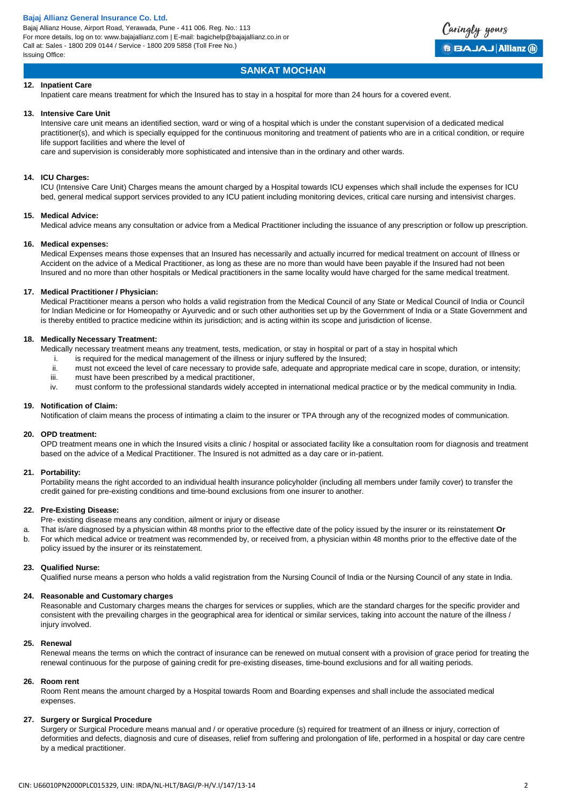Bajaj Allianz House, Airport Road, Yerawada, Pune - 411 006. Reg. No.: 113 For more details, log on to: www.bajajallianz.com | E-mail: bagichelp@bajajallianz.co.in or Call at: Sales - 1800 209 0144 / Service - 1800 209 5858 (Toll Free No.) Issuing Office:



## **SANKAT MOCHAN**

## **12. Inpatient Care**

Inpatient care means treatment for which the Insured has to stay in a hospital for more than 24 hours for a covered event.

#### **13. Intensive Care Unit**

Intensive care unit means an identified section, ward or wing of a hospital which is under the constant supervision of a dedicated medical practitioner(s), and which is specially equipped for the continuous monitoring and treatment of patients who are in a critical condition, or require life support facilities and where the level of

care and supervision is considerably more sophisticated and intensive than in the ordinary and other wards.

### **14. ICU Charges:**

ICU (Intensive Care Unit) Charges means the amount charged by a Hospital towards ICU expenses which shall include the expenses for ICU bed, general medical support services provided to any ICU patient including monitoring devices, critical care nursing and intensivist charges.

## **15. Medical Advice:**

Medical advice means any consultation or advice from a Medical Practitioner including the issuance of any prescription or follow up prescription.

#### **16. Medical expenses:**

Medical Expenses means those expenses that an Insured has necessarily and actually incurred for medical treatment on account of Illness or Accident on the advice of a Medical Practitioner, as long as these are no more than would have been payable if the Insured had not been Insured and no more than other hospitals or Medical practitioners in the same locality would have charged for the same medical treatment.

## **17. Medical Practitioner / Physician:**

Medical Practitioner means a person who holds a valid registration from the Medical Council of any State or Medical Council of India or Council for Indian Medicine or for Homeopathy or Ayurvedic and or such other authorities set up by the Government of India or a State Government and is thereby entitled to practice medicine within its jurisdiction; and is acting within its scope and jurisdiction of license.

#### **18. Medically Necessary Treatment:**

Medically necessary treatment means any treatment, tests, medication, or stay in hospital or part of a stay in hospital which

- i. is required for the medical management of the illness or injury suffered by the Insured;
- ii. must not exceed the level of care necessary to provide safe, adequate and appropriate medical care in scope, duration, or intensity;
- iii. must have been prescribed by a medical practitioner,
- iv. must conform to the professional standards widely accepted in international medical practice or by the medical community in India.

## **19. Notification of Claim:**

Notification of claim means the process of intimating a claim to the insurer or TPA through any of the recognized modes of communication.

#### **20. OPD treatment:**

OPD treatment means one in which the Insured visits a clinic / hospital or associated facility like a consultation room for diagnosis and treatment based on the advice of a Medical Practitioner. The Insured is not admitted as a day care or in-patient.

## **21. Portability:**

Portability means the right accorded to an individual health insurance policyholder (including all members under family cover) to transfer the credit gained for pre-existing conditions and time-bound exclusions from one insurer to another.

## **22. Pre-Existing Disease:**

- Pre- existing disease means any condition, ailment or injury or disease
- a. That is/are diagnosed by a physician within 48 months prior to the effective date of the policy issued by the insurer or its reinstatement **Or** b. For which medical advice or treatment was recommended by, or received from, a physician within 48 months prior to the effective date of the policy issued by the insurer or its reinstatement.

## **23. Qualified Nurse:**

Qualified nurse means a person who holds a valid registration from the Nursing Council of India or the Nursing Council of any state in India.

## **24. Reasonable and Customary charges**

Reasonable and Customary charges means the charges for services or supplies, which are the standard charges for the specific provider and consistent with the prevailing charges in the geographical area for identical or similar services, taking into account the nature of the illness / injury involved.

## **25. Renewal**

Renewal means the terms on which the contract of insurance can be renewed on mutual consent with a provision of grace period for treating the renewal continuous for the purpose of gaining credit for pre-existing diseases, time-bound exclusions and for all waiting periods.

#### **26. Room rent**

Room Rent means the amount charged by a Hospital towards Room and Boarding expenses and shall include the associated medical expenses.

## **27. Surgery or Surgical Procedure**

Surgery or Surgical Procedure means manual and / or operative procedure (s) required for treatment of an illness or injury, correction of deformities and defects, diagnosis and cure of diseases, relief from suffering and prolongation of life, performed in a hospital or day care centre by a medical practitioner.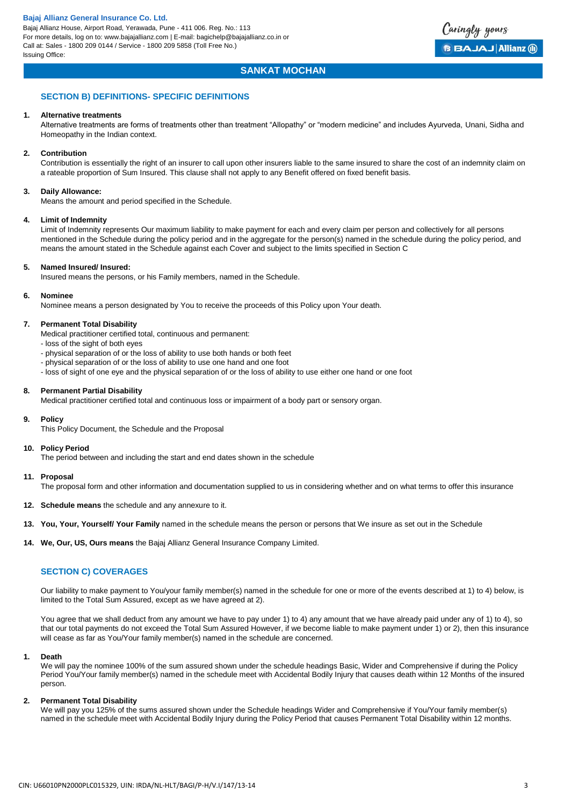Bajaj Allianz House, Airport Road, Yerawada, Pune - 411 006. Reg. No.: 113 For more details, log on to: www.bajajallianz.com | E-mail: bagichelp@bajajallianz.co.in or Call at: Sales - 1800 209 0144 / Service - 1800 209 5858 (Toll Free No.) Issuing Office:



## **SANKAT MOCHAN**

## **SECTION B) DEFINITIONS- SPECIFIC DEFINITIONS**

#### **1. Alternative treatments**

Alternative treatments are forms of treatments other than treatment "Allopathy" or "modern medicine" and includes Ayurveda, Unani, Sidha and Homeopathy in the Indian context.

## **2. Contribution**

Contribution is essentially the right of an insurer to call upon other insurers liable to the same insured to share the cost of an indemnity claim on a rateable proportion of Sum Insured. This clause shall not apply to any Benefit offered on fixed benefit basis.

#### **3. Daily Allowance:**

Means the amount and period specified in the Schedule.

#### **4. Limit of Indemnity**

Limit of Indemnity represents Our maximum liability to make payment for each and every claim per person and collectively for all persons mentioned in the Schedule during the policy period and in the aggregate for the person(s) named in the schedule during the policy period, and means the amount stated in the Schedule against each Cover and subject to the limits specified in Section C

#### **5. Named Insured/ Insured:**

Insured means the persons, or his Family members, named in the Schedule.

#### **6. Nominee**

Nominee means a person designated by You to receive the proceeds of this Policy upon Your death.

#### **7. Permanent Total Disability**

Medical practitioner certified total, continuous and permanent:

- loss of the sight of both eyes

- physical separation of or the loss of ability to use both hands or both feet
- physical separation of or the loss of ability to use one hand and one foot
- loss of sight of one eye and the physical separation of or the loss of ability to use either one hand or one foot

#### **8. Permanent Partial Disability**

Medical practitioner certified total and continuous loss or impairment of a body part or sensory organ.

#### **9. Policy**

This Policy Document, the Schedule and the Proposal

#### **10. Policy Period**

The period between and including the start and end dates shown in the schedule

#### **11. Proposal**

The proposal form and other information and documentation supplied to us in considering whether and on what terms to offer this insurance

- **12. Schedule means** the schedule and any annexure to it.
- **13. You, Your, Yourself/ Your Family** named in the schedule means the person or persons that We insure as set out in the Schedule
- **14. We, Our, US, Ours means** the Bajaj Allianz General Insurance Company Limited.

## **SECTION C) COVERAGES**

Our liability to make payment to You/your family member(s) named in the schedule for one or more of the events described at 1) to 4) below, is limited to the Total Sum Assured, except as we have agreed at 2).

You agree that we shall deduct from any amount we have to pay under 1) to 4) any amount that we have already paid under any of 1) to 4), so that our total payments do not exceed the Total Sum Assured However, if we become liable to make payment under 1) or 2), then this insurance will cease as far as You/Your family member(s) named in the schedule are concerned.

#### **1. Death**

We will pay the nominee 100% of the sum assured shown under the schedule headings Basic, Wider and Comprehensive if during the Policy Period You/Your family member(s) named in the schedule meet with Accidental Bodily Injury that causes death within 12 Months of the insured person.

## **2. Permanent Total Disability**

We will pay you 125% of the sums assured shown under the Schedule headings Wider and Comprehensive if You/Your family member(s) named in the schedule meet with Accidental Bodily Injury during the Policy Period that causes Permanent Total Disability within 12 months.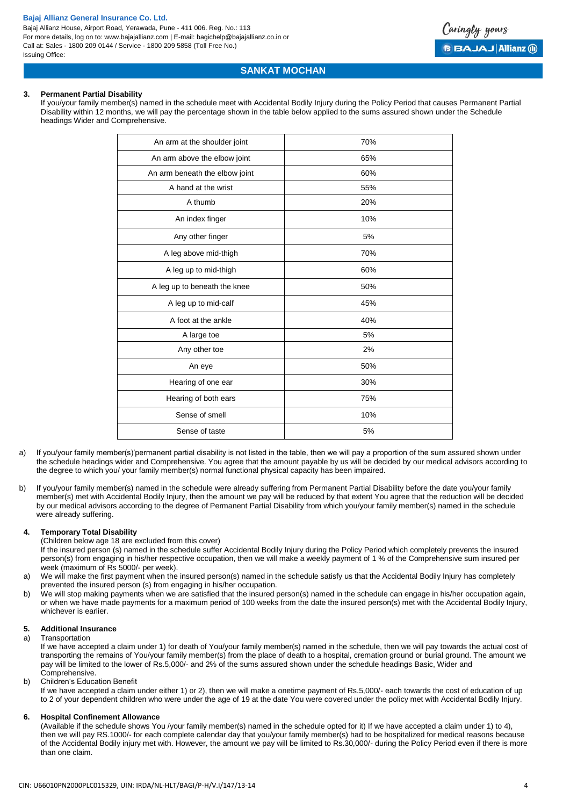Bajaj Allianz House, Airport Road, Yerawada, Pune - 411 006. Reg. No.: 113 For more details, log on to: www.bajajallianz.com | E-mail: bagichelp@bajajallianz.co.in or Call at: Sales - 1800 209 0144 / Service - 1800 209 5858 (Toll Free No.) Issuing Office:



## **SANKAT MOCHAN**

## **3. Permanent Partial Disability**

If you/your family member(s) named in the schedule meet with Accidental Bodily Injury during the Policy Period that causes Permanent Partial Disability within 12 months, we will pay the percentage shown in the table below applied to the sums assured shown under the Schedule headings Wider and Comprehensive.

| An arm at the shoulder joint   | 70% |
|--------------------------------|-----|
| An arm above the elbow joint   | 65% |
| An arm beneath the elbow joint | 60% |
| A hand at the wrist            | 55% |
| A thumb                        | 20% |
| An index finger                | 10% |
| Any other finger               | 5%  |
| A leg above mid-thigh          | 70% |
| A leg up to mid-thigh          | 60% |
| A leg up to beneath the knee   | 50% |
| A leg up to mid-calf           | 45% |
| A foot at the ankle            | 40% |
| A large toe                    | 5%  |
| Any other toe                  | 2%  |
| An eye                         | 50% |
| Hearing of one ear             | 30% |
| Hearing of both ears           | 75% |
| Sense of smell                 | 10% |
| Sense of taste                 | 5%  |
|                                |     |

- a) If you/your family member(s)'permanent partial disability is not listed in the table, then we will pay a proportion of the sum assured shown under the schedule headings wider and Comprehensive. You agree that the amount payable by us will be decided by our medical advisors according to the degree to which you/ your family member(s) normal functional physical capacity has been impaired.
- b) If you/your family member(s) named in the schedule were already suffering from Permanent Partial Disability before the date you/your family member(s) met with Accidental Bodily Injury, then the amount we pay will be reduced by that extent You agree that the reduction will be decided by our medical advisors according to the degree of Permanent Partial Disability from which you/your family member(s) named in the schedule were already suffering.

## **4. Temporary Total Disability**

(Children below age 18 are excluded from this cover)

- If the insured person (s) named in the schedule suffer Accidental Bodily Injury during the Policy Period which completely prevents the insured person(s) from engaging in his/her respective occupation, then we will make a weekly payment of 1 % of the Comprehensive sum insured per week (maximum of Rs 5000/- per week).
- a) We will make the first payment when the insured person(s) named in the schedule satisfy us that the Accidental Bodily Injury has completely prevented the insured person (s) from engaging in his/her occupation.
- b) We will stop making payments when we are satisfied that the insured person(s) named in the schedule can engage in his/her occupation again, or when we have made payments for a maximum period of 100 weeks from the date the insured person(s) met with the Accidental Bodily Injury, whichever is earlier.

## **5. Additional Insurance**

#### a) Transportation

If we have accepted a claim under 1) for death of You/your family member(s) named in the schedule, then we will pay towards the actual cost of transporting the remains of You/your family member(s) from the place of death to a hospital, cremation ground or burial ground. The amount we pay will be limited to the lower of Rs.5,000/- and 2% of the sums assured shown under the schedule headings Basic, Wider and Comprehensive.

### b) Children's Education Benefit

If we have accepted a claim under either 1) or 2), then we will make a onetime payment of Rs.5,000/- each towards the cost of education of up to 2 of your dependent children who were under the age of 19 at the date You were covered under the policy met with Accidental Bodily Injury.

## **6. Hospital Confinement Allowance**

(Available if the schedule shows You /your family member(s) named in the schedule opted for it) If we have accepted a claim under 1) to 4), then we will pay RS.1000/- for each complete calendar day that you/your family member(s) had to be hospitalized for medical reasons because of the Accidental Bodily injury met with. However, the amount we pay will be limited to Rs.30,000/- during the Policy Period even if there is more than one claim.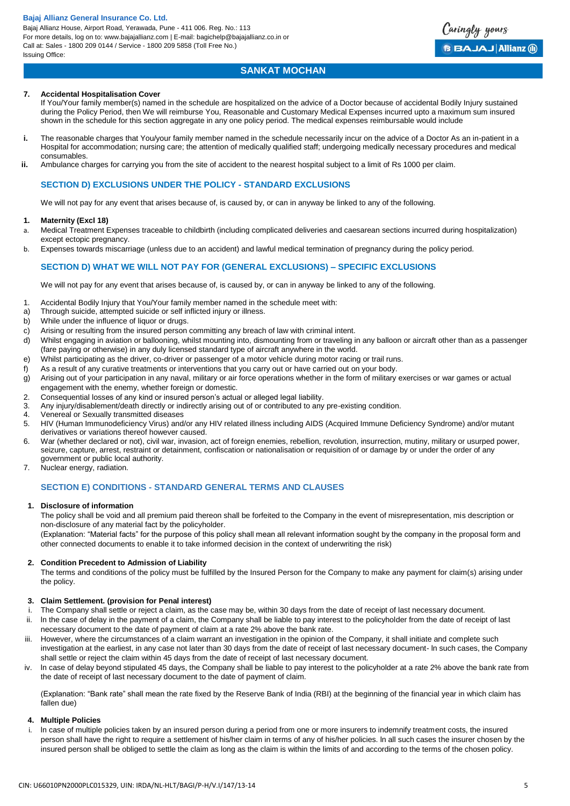Bajaj Allianz House, Airport Road, Yerawada, Pune - 411 006. Reg. No.: 113 For more details, log on to: www.bajajallianz.com | E-mail: bagichelp@bajajallianz.co.in or Call at: Sales - 1800 209 0144 / Service - 1800 209 5858 (Toll Free No.) Issuing Office:

## **SANKAT MOCHAN**

## **7. Accidental Hospitalisation Cover**

If You/Your family member(s) named in the schedule are hospitalized on the advice of a Doctor because of accidental Bodily Injury sustained during the Policy Period, then We will reimburse You, Reasonable and Customary Medical Expenses incurred upto a maximum sum insured shown in the schedule for this section aggregate in any one policy period. The medical expenses reimbursable would include

- **i.** The reasonable charges that You/your family member named in the schedule necessarily incur on the advice of a Doctor As an in-patient in a Hospital for accommodation; nursing care; the attention of medically qualified staff; undergoing medically necessary procedures and medical consumables.
- **ii.** Ambulance charges for carrying you from the site of accident to the nearest hospital subject to a limit of Rs 1000 per claim.

## **SECTION D) EXCLUSIONS UNDER THE POLICY - STANDARD EXCLUSIONS**

We will not pay for any event that arises because of, is caused by, or can in anyway be linked to any of the following.

## **1. Maternity (Excl 18)**

- a. Medical Treatment Expenses traceable to childbirth (including complicated deliveries and caesarean sections incurred during hospitalization) except ectopic pregnancy.
- b. Expenses towards miscarriage (unless due to an accident) and lawful medical termination of pregnancy during the policy period.

## **SECTION D) WHAT WE WILL NOT PAY FOR (GENERAL EXCLUSIONS) – SPECIFIC EXCLUSIONS**

We will not pay for any event that arises because of, is caused by, or can in anyway be linked to any of the following.

- 1. Accidental Bodily Injury that You/Your family member named in the schedule meet with:
- a) Through suicide, attempted suicide or self inflicted injury or illness.
- b) While under the influence of liquor or drugs.
- c) Arising or resulting from the insured person committing any breach of law with criminal intent.
- d) Whilst engaging in aviation or ballooning, whilst mounting into, dismounting from or traveling in any balloon or aircraft other than as a passenger (fare paying or otherwise) in any duly licensed standard type of aircraft anywhere in the world.
- e) Whilst participating as the driver, co-driver or passenger of a motor vehicle during motor racing or trail runs.
- f) As a result of any curative treatments or interventions that you carry out or have carried out on your body.
- g) Arising out of your participation in any naval, military or air force operations whether in the form of military exercises or war games or actual engagement with the enemy, whether foreign or domestic.
- 2. Consequential losses of any kind or insured person's actual or alleged legal liability.<br>3. Any injury/disablement/death directly or indirectly arising out of or contributed to any
- 3. Any injury/disablement/death directly or indirectly arising out of or contributed to any pre-existing condition.
- 4. Venereal or Sexually transmitted diseases
- 5. HIV (Human Immunodeficiency Virus) and/or any HIV related illness including AIDS (Acquired Immune Deficiency Syndrome) and/or mutant derivatives or variations thereof however caused.
- 6. War (whether declared or not), civil war, invasion, act of foreign enemies, rebellion, revolution, insurrection, mutiny, military or usurped power, seizure, capture, arrest, restraint or detainment, confiscation or nationalisation or requisition of or damage by or under the order of any government or public local authority.
- 7. Nuclear energy, radiation.

## **SECTION E) CONDITIONS - STANDARD GENERAL TERMS AND CLAUSES**

## **1. Disclosure of information**

The policy shall be void and all premium paid thereon shall be forfeited to the Company in the event of misrepresentation, mis description or non-disclosure of any material fact by the policyholder.

(Explanation: "Material facts" for the purpose of this policy shall mean all relevant information sought by the company in the proposal form and other connected documents to enable it to take informed decision in the context of underwriting the risk)

## **2. Condition Precedent to Admission of Liability**

The terms and conditions of the policy must be fulfilled by the Insured Person for the Company to make any payment for claim(s) arising under the policy.

## **3. Claim Settlement. (provision for Penal interest)**

- i. The Company shall settle or reject a claim, as the case may be, within 30 days from the date of receipt of last necessary document.
- ii. ln the case of delay in the payment of a claim, the Company shall be liable to pay interest to the policyholder from the date of receipt of last necessary document to the date of payment of claim at a rate 2% above the bank rate.
- iii. However, where the circumstances of a claim warrant an investigation in the opinion of the Company, it shall initiate and complete such investigation at the earliest, in any case not later than 30 days from the date of receipt of last necessary document- ln such cases, the Company shall settle or reject the claim within 45 days from the date of receipt of last necessary document.
- iv. ln case of delay beyond stipulated 45 days, the Company shall be liable to pay interest to the policyholder at a rate 2% above the bank rate from the date of receipt of last necessary document to the date of payment of claim.

(Explanation: "Bank rate" shall mean the rate fixed by the Reserve Bank of India (RBI) at the beginning of the financial year in which claim has fallen due)

## **4. Multiple Policies**

i. ln case of multiple policies taken by an insured person during a period from one or more insurers to indemnify treatment costs, the insured person shall have the right to require a settlement of his/her claim in terms of any of his/her policies. ln all such cases the insurer chosen by the insured person shall be obliged to settle the claim as long as the claim is within the limits of and according to the terms of the chosen policy.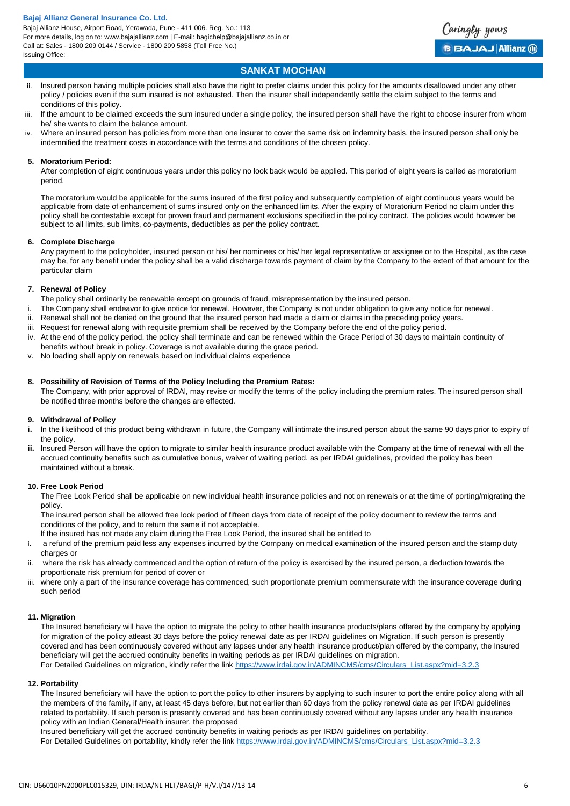Bajaj Allianz House, Airport Road, Yerawada, Pune - 411 006. Reg. No.: 113 For more details, log on to: www.bajajallianz.com | E-mail: bagichelp@bajajallianz.co.in or Call at: Sales - 1800 209 0144 / Service - 1800 209 5858 (Toll Free No.) Issuing Office:



## **SANKAT MOCHAN**

- ii. lnsured person having multiple policies shall also have the right to prefer claims under this policy for the amounts disallowed under any other policy / policies even if the sum insured is not exhausted. Then the insurer shall independently settle the claim subject to the terms and conditions of this policy.
- iii. lf the amount to be claimed exceeds the sum insured under a single policy, the insured person shall have the right to choose insurer from whom he/ she wants to claim the balance amount.
- iv. Where an insured person has policies from more than one insurer to cover the same risk on indemnity basis, the insured person shall only be indemnified the treatment costs in accordance with the terms and conditions of the chosen policy.

## **5. Moratorium Period:**

After completion of eight continuous years under this policy no look back would be applied. This period of eight years is called as moratorium period.

The moratorium would be applicable for the sums insured of the first policy and subsequently completion of eight continuous years would be applicable from date of enhancement of sums insured only on the enhanced limits. After the expiry of Moratorium Period no claim under this policy shall be contestable except for proven fraud and permanent exclusions specified in the policy contract. The policies would however be subject to all limits, sub limits, co-payments, deductibles as per the policy contract.

## **6. Complete Discharge**

Any payment to the policyholder, insured person or his/ her nominees or his/ her legal representative or assignee or to the Hospital, as the case may be, for any benefit under the policy shall be a valid discharge towards payment of claim by the Company to the extent of that amount for the particular claim

## **7. Renewal of Policy**

The policy shall ordinarily be renewable except on grounds of fraud, misrepresentation by the insured person.

- The Company shall endeavor to give notice for renewal. However, the Company is not under obligation to give any notice for renewal.
- ii. Renewal shall not be denied on the ground that the insured person had made a claim or claims in the preceding policy years.
- iii. Request for renewal along with requisite premium shall be received by the Company before the end of the policy period.
- iv. At the end of the policy period, the policy shall terminate and can be renewed within the Grace Period of 30 days to maintain continuity of benefits without break in policy. Coverage is not available during the grace period.
- v. No loading shall apply on renewals based on individual claims experience

## **8. Possibility of Revision of Terms of the Policy lncluding the Premium Rates:**

The Company, with prior approval of lRDAl, may revise or modify the terms of the policy including the premium rates. The insured person shall be notified three months before the changes are effected.

## **9. Withdrawal of Policy**

- **i.** ln the likelihood of this product being withdrawn in future, the Company will intimate the insured person about the same 90 days prior to expiry of the policy.
- **ii.** lnsured Person will have the option to migrate to similar health insurance product available with the Company at the time of renewal with all the accrued continuity benefits such as cumulative bonus, waiver of waiting period. as per IRDAI guidelines, provided the policy has been maintained without a break.

## **10. Free Look Period**

The Free Look Period shall be applicable on new individual health insurance policies and not on renewals or at the time of porting/migrating the policy.

The insured person shall be allowed free look period of fifteen days from date of receipt of the policy document to review the terms and conditions of the policy, and to return the same if not acceptable.

lf the insured has not made any claim during the Free Look Period, the insured shall be entitled to

- i. a refund of the premium paid less any expenses incurred by the Company on medical examination of the insured person and the stamp duty charges or
- ii. where the risk has already commenced and the option of return of the policy is exercised by the insured person, a deduction towards the proportionate risk premium for period of cover or
- iii. where only a part of the insurance coverage has commenced, such proportionate premium commensurate with the insurance coverage during such period

## **11. Migration**

The Insured beneficiary will have the option to migrate the policy to other health insurance products/plans offered by the company by applying for migration of the policy atleast 30 days before the policy renewal date as per IRDAI guidelines on Migration. If such person is presently covered and has been continuously covered without any lapses under any health insurance product/plan offered by the company, the Insured beneficiary will get the accrued continuity benefits in waiting periods as per IRDAI guidelines on migration. For Detailed Guidelines on migration, kindly refer the link [https://www.irdai.gov.in/ADMINCMS/cms/Circulars\\_List.aspx?mid=3.2.3](https://www.irdai.gov.in/ADMINCMS/cms/Circulars_List.aspx?mid=3.2.3)

## **12. Portability**

The Insured beneficiary will have the option to port the policy to other insurers by applying to such insurer to port the entire policy along with all the members of the family, if any, at least 45 days before, but not earlier than 60 days from the policy renewal date as per IRDAI guidelines related to portability. If such person is presently covered and has been continuously covered without any lapses under any health insurance policy with an Indian General/Health insurer, the proposed

Insured beneficiary will get the accrued continuity benefits in waiting periods as per IRDAI guidelines on portability.

For Detailed Guidelines on portability, kindly refer the link [https://www.irdai.gov.in/ADMINCMS/cms/Circulars\\_List.aspx?mid=3.2.3](https://www.irdai.gov.in/ADMINCMS/cms/Circulars_List.aspx?mid=3.2.3)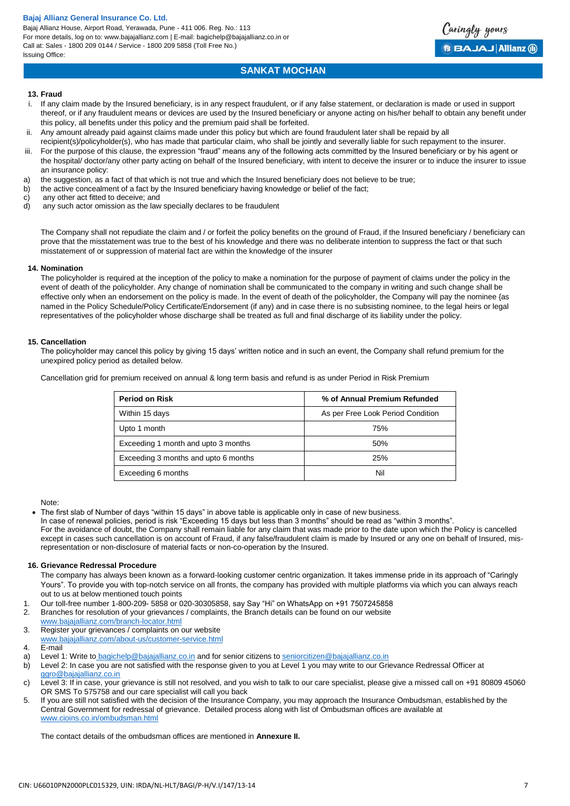Bajaj Allianz House, Airport Road, Yerawada, Pune - 411 006. Reg. No.: 113 For more details, log on to: www.bajajallianz.com | E-mail: bagichelp@bajajallianz.co.in or Call at: Sales - 1800 209 0144 / Service - 1800 209 5858 (Toll Free No.) Issuing Office:



Caringly yours

**BBAJAJ Allianz @** 

#### **13. Fraud**

- i. If any claim made by the Insured beneficiary, is in any respect fraudulent, or if any false statement, or declaration is made or used in support thereof, or if any fraudulent means or devices are used by the Insured beneficiary or anyone acting on his/her behalf to obtain any benefit under this policy, all benefits under this policy and the premium paid shall be forfeited.
- ii. Any amount already paid against claims made under this policy but which are found fraudulent later shall be repaid by all
- recipient(s)/policyholder(s), who has made that particular claim, who shall be jointly and severally liable for such repayment to the insurer. iii. For the purpose of this clause, the expression "fraud" means any of the following acts committed by the Insured beneficiary or by his agent or the hospital/ doctor/any other party acting on behalf of the Insured beneficiary, with intent to deceive the insurer or to induce the insurer to issue
- an insurance policy: a) the suggestion, as a fact of that which is not true and which the Insured beneficiary does not believe to be true;
- b) the active concealment of a fact by the Insured beneficiary having knowledge or belief of the fact;
- c) any other act fitted to deceive; and
- d) any such actor omission as the law specially declares to be fraudulent

The Company shall not repudiate the claim and / or forfeit the policy benefits on the ground of Fraud, if the Insured beneficiary / beneficiary can prove that the misstatement was true to the best of his knowledge and there was no deliberate intention to suppress the fact or that such misstatement of or suppression of material fact are within the knowledge of the insurer

#### **14. Nomination**

The policyholder is required at the inception of the policy to make a nomination for the purpose of payment of claims under the policy in the event of death of the policyholder. Any change of nomination shall be communicated to the company in writing and such change shall be effective only when an endorsement on the policy is made. ln the event of death of the policyholder, the Company will pay the nominee {as named in the Policy Schedule/Policy Certificate/Endorsement (if any) and in case there is no subsisting nominee, to the legal heirs or legal representatives of the policyholder whose discharge shall be treated as full and final discharge of its liability under the policy.

#### **15. Cancellation**

The policyholder may cancel this policy by giving 15 days' written notice and in such an event, the Company shall refund premium for the unexpired policy period as detailed below.

Cancellation grid for premium received on annual & long term basis and refund is as under Period in Risk Premium

| <b>Period on Risk</b>                | % of Annual Premium Refunded      |
|--------------------------------------|-----------------------------------|
| Within 15 days                       | As per Free Look Period Condition |
| Upto 1 month                         | 75%                               |
| Exceeding 1 month and upto 3 months  | 50%                               |
| Exceeding 3 months and upto 6 months | 25%                               |
| Exceeding 6 months                   | Nil                               |

Note:

The first slab of Number of days "within 15 days" in above table is applicable only in case of new business.

In case of renewal policies, period is risk "Exceeding 15 days but less than 3 months" should be read as "within 3 months". For the avoidance of doubt, the Company shall remain liable for any claim that was made prior to the date upon which the Policy is cancelled except in cases such cancellation is on account of Fraud, if any false/fraudulent claim is made by Insured or any one on behalf of Insured, misrepresentation or non-disclosure of material facts or non-co-operation by the Insured.

#### **16. Grievance Redressal Procedure**

The company has always been known as a forward-looking customer centric organization. It takes immense pride in its approach of "Caringly Yours". To provide you with top-notch service on all fronts, the company has provided with multiple platforms via which you can always reach out to us at below mentioned touch points

- 1. Our toll-free number 1-800-209- 5858 or 020-30305858, say Say "Hi" on WhatsApp on +91 7507245858
- 2. Branches for resolution of your grievances / complaints, the Branch details can be found on our website
- [www.bajajallianz.com/branch-locator.html](http://www.bajajallianz.com/branch-locator.html)
- 3. Register your grievances / complaints on our website
- [www.bajajallianz.com/about-us/customer-service.html](http://www.bajajallianz.com/about-us/customer-service.html)
- 4. E-mail
- a) Level 1: Write to [bagichelp@bajajallianz.co.in](mailto:bagichelp@bajajallianz.co.in) and for senior citizens to [seniorcitizen@bajajallianz.co.in](mailto:seniorcitizen@bajajallianz.co.in)
- b) Level 2: In case you are not satisfied with the response given to you at Level 1 you may write to our Grievance Redressal Officer at [ggro@bajajallianz.co.in](mailto:ggro@bajajallianz.co.in)
- c) Level 3: If in case, your grievance is still not resolved, and you wish to talk to our care specialist, please give a missed call on +91 80809 45060 OR SMS To 575758 and our care specialist will call you back
- 5. If you are still not satisfied with the decision of the Insurance Company, you may approach the Insurance Ombudsman, established by the Central Government for redressal of grievance. Detailed process along with list of Ombudsman offices are available at [www.cioins.co.in/ombudsman.html](http://www.cioins.co.in/ombudsman.html)

The contact details of the ombudsman offices are mentioned in **Annexure II.**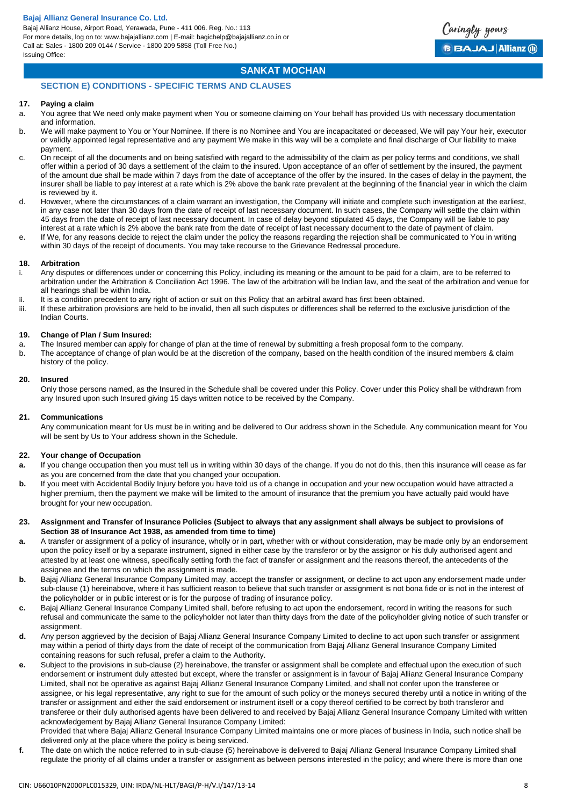Bajaj Allianz House, Airport Road, Yerawada, Pune - 411 006. Reg. No.: 113 For more details, log on to: www.bajajallianz.com | E-mail: bagichelp@bajajallianz.co.in or Call at: Sales - 1800 209 0144 / Service - 1800 209 5858 (Toll Free No.) Issuing Office:

## **SANKAT MOCHAN**

## **SECTION E) CONDITIONS - SPECIFIC TERMS AND CLAUSES**

#### **17. Paying a claim**

- a. You agree that We need only make payment when You or someone claiming on Your behalf has provided Us with necessary documentation and information.
- b. We will make payment to You or Your Nominee. If there is no Nominee and You are incapacitated or deceased, We will pay Your heir, executor or validly appointed legal representative and any payment We make in this way will be a complete and final discharge of Our liability to make payment.
- c. On receipt of all the documents and on being satisfied with regard to the admissibility of the claim as per policy terms and conditions, we shall offer within a period of 30 days a settlement of the claim to the insured. Upon acceptance of an offer of settlement by the insured, the payment of the amount due shall be made within 7 days from the date of acceptance of the offer by the insured. In the cases of delay in the payment, the insurer shall be liable to pay interest at a rate which is 2% above the bank rate prevalent at the beginning of the financial year in which the claim is reviewed by it.
- d. However, where the circumstances of a claim warrant an investigation, the Company will initiate and complete such investigation at the earliest, in any case not later than 30 days from the date of receipt of last necessary document. In such cases, the Company will settle the claim within 45 days from the date of receipt of last necessary document. In case of delay beyond stipulated 45 days, the Company will be liable to pay interest at a rate which is 2% above the bank rate from the date of receipt of last necessary document to the date of payment of claim.
- e. If We, for any reasons decide to reject the claim under the policy the reasons regarding the rejection shall be communicated to You in writing within 30 days of the receipt of documents. You may take recourse to the Grievance Redressal procedure.

#### **18. Arbitration**

- i. Any disputes or differences under or concerning this Policy, including its meaning or the amount to be paid for a claim, are to be referred to arbitration under the Arbitration & Conciliation Act 1996. The law of the arbitration will be Indian law, and the seat of the arbitration and venue for all hearings shall be within India.
- ii. It is a condition precedent to any right of action or suit on this Policy that an arbitral award has first been obtained.
- iii. If these arbitration provisions are held to be invalid, then all such disputes or differences shall be referred to the exclusive jurisdiction of the Indian Courts.

#### **19. Change of Plan / Sum Insured:**

- a. The Insured member can apply for change of plan at the time of renewal by submitting a fresh proposal form to the company.
- b. The acceptance of change of plan would be at the discretion of the company, based on the health condition of the insured members & claim history of the policy.

### **20. Insured**

Only those persons named, as the Insured in the Schedule shall be covered under this Policy. Cover under this Policy shall be withdrawn from any Insured upon such Insured giving 15 days written notice to be received by the Company.

#### **21. Communications**

Any communication meant for Us must be in writing and be delivered to Our address shown in the Schedule. Any communication meant for You will be sent by Us to Your address shown in the Schedule.

## **22. Your change of Occupation**

- **a.** If you change occupation then you must tell us in writing within 30 days of the change. If you do not do this, then this insurance will cease as far as you are concerned from the date that you changed your occupation.
- **b.** If you meet with Accidental Bodily Injury before you have told us of a change in occupation and your new occupation would have attracted a higher premium, then the payment we make will be limited to the amount of insurance that the premium you have actually paid would have brought for your new occupation.
- **23. Assignment and Transfer of Insurance Policies (Subject to always that any assignment shall always be subject to provisions of Section 38 of Insurance Act 1938, as amended from time to time)**
- **a.** A transfer or assignment of a policy of insurance, wholly or in part, whether with or without consideration, may be made only by an endorsement upon the policy itself or by a separate instrument, signed in either case by the transferor or by the assignor or his duly authorised agent and attested by at least one witness, specifically setting forth the fact of transfer or assignment and the reasons thereof, the antecedents of the assignee and the terms on which the assignment is made.
- **b.** Bajaj Allianz General Insurance Company Limited may, accept the transfer or assignment, or decline to act upon any endorsement made under sub-clause (1) hereinabove, where it has sufficient reason to believe that such transfer or assignment is not bona fide or is not in the interest of the policyholder or in public interest or is for the purpose of trading of insurance policy.
- **c.** Bajaj Allianz General Insurance Company Limited shall, before refusing to act upon the endorsement, record in writing the reasons for such refusal and communicate the same to the policyholder not later than thirty days from the date of the policyholder giving notice of such transfer or assignment.
- **d.** Any person aggrieved by the decision of Bajaj Allianz General Insurance Company Limited to decline to act upon such transfer or assignment may within a period of thirty days from the date of receipt of the communication from Bajaj Allianz General Insurance Company Limited containing reasons for such refusal, prefer a claim to the Authority.
- **e.** Subject to the provisions in sub-clause (2) hereinabove, the transfer or assignment shall be complete and effectual upon the execution of such endorsement or instrument duly attested but except, where the transfer or assignment is in favour of Bajaj Allianz General Insurance Company Limited, shall not be operative as against Bajaj Allianz General Insurance Company Limited, and shall not confer upon the transferee or assignee, or his legal representative, any right to sue for the amount of such policy or the moneys secured thereby until a notice in writing of the transfer or assignment and either the said endorsement or instrument itself or a copy thereof certified to be correct by both transferor and transferee or their duly authorised agents have been delivered to and received by Bajaj Allianz General Insurance Company Limited with written acknowledgement by Bajaj Allianz General Insurance Company Limited:

Provided that where Bajaj Allianz General Insurance Company Limited maintains one or more places of business in India, such notice shall be delivered only at the place where the policy is being serviced.

**f.** The date on which the notice referred to in sub-clause (5) hereinabove is delivered to Bajaj Allianz General Insurance Company Limited shall regulate the priority of all claims under a transfer or assignment as between persons interested in the policy; and where there is more than one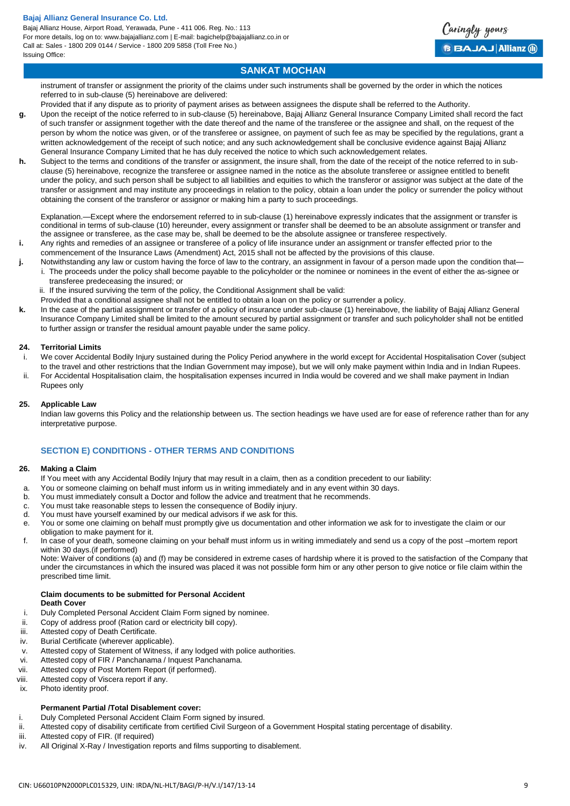Bajaj Allianz House, Airport Road, Yerawada, Pune - 411 006. Reg. No.: 113 For more details, log on to: www.bajajallianz.com | E-mail: bagichelp@bajajallianz.co.in or Call at: Sales - 1800 209 0144 / Service - 1800 209 5858 (Toll Free No.) Issuing Office:

Caringly yours **BBAJAJ Allianz (ii)** 

## **SANKAT MOCHAN**

instrument of transfer or assignment the priority of the claims under such instruments shall be governed by the order in which the notices referred to in sub-clause (5) hereinabove are delivered:

- Provided that if any dispute as to priority of payment arises as between assignees the dispute shall be referred to the Authority.
- **g.** Upon the receipt of the notice referred to in sub-clause (5) hereinabove, Bajaj Allianz General Insurance Company Limited shall record the fact of such transfer or assignment together with the date thereof and the name of the transferee or the assignee and shall, on the request of the person by whom the notice was given, or of the transferee or assignee, on payment of such fee as may be specified by the regulations, grant a written acknowledgement of the receipt of such notice; and any such acknowledgement shall be conclusive evidence against Bajaj Allianz General Insurance Company Limited that he has duly received the notice to which such acknowledgement relates.
- **h.** Subject to the terms and conditions of the transfer or assignment, the insure shall, from the date of the receipt of the notice referred to in subclause (5) hereinabove, recognize the transferee or assignee named in the notice as the absolute transferee or assignee entitled to benefit under the policy, and such person shall be subject to all liabilities and equities to which the transferor or assignor was subject at the date of the transfer or assignment and may institute any proceedings in relation to the policy, obtain a loan under the policy or surrender the policy without obtaining the consent of the transferor or assignor or making him a party to such proceedings.

Explanation.—Except where the endorsement referred to in sub-clause (1) hereinabove expressly indicates that the assignment or transfer is conditional in terms of sub-clause (10) hereunder, every assignment or transfer shall be deemed to be an absolute assignment or transfer and the assignee or transferee, as the case may be, shall be deemed to be the absolute assignee or transferee respectively.

- **i.** Any rights and remedies of an assignee or transferee of a policy of life insurance under an assignment or transfer effected prior to the commencement of the Insurance Laws (Amendment) Act, 2015 shall not be affected by the provisions of this clause.
	- Notwithstanding any law or custom having the force of law to the contrary, an assignment in favour of a person made upon the condition that i. The proceeds under the policy shall become payable to the policyholder or the nominee or nominees in the event of either the as-signee or transferee predeceasing the insured; or
	- ii. If the insured surviving the term of the policy, the Conditional Assignment shall be valid:
	- Provided that a conditional assignee shall not be entitled to obtain a loan on the policy or surrender a policy.
- **k.** In the case of the partial assignment or transfer of a policy of insurance under sub-clause (1) hereinabove, the liability of Bajaj Allianz General Insurance Company Limited shall be limited to the amount secured by partial assignment or transfer and such policyholder shall not be entitled to further assign or transfer the residual amount payable under the same policy.

## **24. Territorial Limits**

- We cover Accidental Bodily Injury sustained during the Policy Period anywhere in the world except for Accidental Hospitalisation Cover (subject to the travel and other restrictions that the Indian Government may impose), but we will only make payment within India and in Indian Rupees.
- ii. For Accidental Hospitalisation claim, the hospitalisation expenses incurred in India would be covered and we shall make payment in Indian Rupees only

## **25. Applicable Law**

Indian law governs this Policy and the relationship between us. The section headings we have used are for ease of reference rather than for any interpretative purpose.

## **SECTION E) CONDITIONS - OTHER TERMS AND CONDITIONS**

## **26. Making a Claim**

- If You meet with any Accidental Bodily Injury that may result in a claim, then as a condition precedent to our liability:
- a. You or someone claiming on behalf must inform us in writing immediately and in any event within 30 days.
- b. You must immediately consult a Doctor and follow the advice and treatment that he recommends.
- c. You must take reasonable steps to lessen the consequence of Bodily injury.
- d. You must have yourself examined by our medical advisors if we ask for this.
- e. You or some one claiming on behalf must promptly give us documentation and other information we ask for to investigate the claim or our obligation to make payment for it.
- f. In case of your death, someone claiming on your behalf must inform us in writing immediately and send us a copy of the post –mortem report within 30 days.(if performed)

Note: Waiver of conditions (a) and (f) may be considered in extreme cases of hardship where it is proved to the satisfaction of the Company that under the circumstances in which the insured was placed it was not possible form him or any other person to give notice or file claim within the prescribed time limit.

#### **Claim documents to be submitted for Personal Accident Death Cover**

- i. Duly Completed Personal Accident Claim Form signed by nominee.
- ii. Copy of address proof (Ration card or electricity bill copy).
- iii. Attested copy of Death Certificate.
- iv. Burial Certificate (wherever applicable).
- v. Attested copy of Statement of Witness, if any lodged with police authorities.
- vi. Attested copy of FIR / Panchanama / Inquest Panchanama.
- vii. Attested copy of Post Mortem Report (if performed).
- viii. Attested copy of Viscera report if any.
- ix. Photo identity proof.

## **Permanent Partial /Total Disablement cover:**

- i. Duly Completed Personal Accident Claim Form signed by insured.<br>attested copy of disability certificate from certified Civil Surgeon of
- Attested copy of disability certificate from certified Civil Surgeon of a Government Hospital stating percentage of disability.
- iii. Attested copy of FIR. (If required)
- iv. All Original X-Ray / Investigation reports and films supporting to disablement.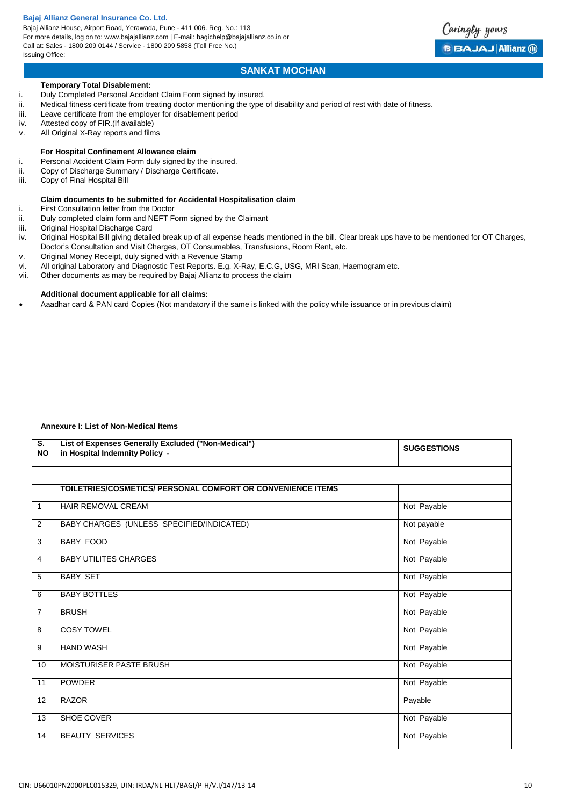Bajaj Allianz House, Airport Road, Yerawada, Pune - 411 006. Reg. No.: 113 For more details, log on to: www.bajajallianz.com | E-mail: bagichelp@bajajallianz.co.in or Call at: Sales - 1800 209 0144 / Service - 1800 209 5858 (Toll Free No.) Issuing Office:



## **SANKAT MOCHAN**

## **Temporary Total Disablement:**

- i. Duly Completed Personal Accident Claim Form signed by insured.
- ii. Medical fitness certificate from treating doctor mentioning the type of disability and period of rest with date of fitness.<br>iii. I eave certificate from the employer for disablement period
- Leave certificate from the employer for disablement period
- iv. Attested copy of FIR.(If available)
- v. All Original X-Ray reports and films

## **For Hospital Confinement Allowance claim**

- i. Personal Accident Claim Form duly signed by the insured.
- ii. Copy of Discharge Summary / Discharge Certificate.
- iii. Copy of Final Hospital Bill

## **Claim documents to be submitted for Accidental Hospitalisation claim**

- i. First Consultation letter from the Doctor
- ii. Duly completed claim form and NEFT Form signed by the Claimant
- iii. Original Hospital Discharge Card
- iv. Original Hospital Bill giving detailed break up of all expense heads mentioned in the bill. Clear break ups have to be mentioned for OT Charges, Doctor's Consultation and Visit Charges, OT Consumables, Transfusions, Room Rent, etc.
- v. Original Money Receipt, duly signed with a Revenue Stamp vi. All original Laboratory and Diagnostic Test Reports, E.g. X-F
- All original Laboratory and Diagnostic Test Reports. E.g. X-Ray, E.C.G, USG, MRI Scan, Haemogram etc.
- vii. Other documents as may be required by Bajaj Allianz to process the claim

#### **Additional document applicable for all claims:**

Aaadhar card & PAN card Copies (Not mandatory if the same is linked with the policy while issuance or in previous claim)

## **Annexure I: List of Non-Medical Items**

| $\overline{\mathsf{s}}$ .<br><b>NO</b> | List of Expenses Generally Excluded ("Non-Medical")<br>in Hospital Indemnity Policy - | <b>SUGGESTIONS</b> |
|----------------------------------------|---------------------------------------------------------------------------------------|--------------------|
|                                        |                                                                                       |                    |
|                                        | TOILETRIES/COSMETICS/ PERSONAL COMFORT OR CONVENIENCE ITEMS                           |                    |
| $\mathbf{1}$                           | <b>HAIR REMOVAL CREAM</b>                                                             | Not Payable        |
| 2                                      | BABY CHARGES (UNLESS SPECIFIED/INDICATED)                                             | Not payable        |
| 3                                      | <b>BABY FOOD</b>                                                                      | Not Payable        |
| $\overline{4}$                         | <b>BABY UTILITES CHARGES</b>                                                          | Not Payable        |
| 5                                      | <b>BABY SET</b>                                                                       | Not Payable        |
| 6                                      | <b>BABY BOTTLES</b>                                                                   | Not Payable        |
| $\overline{7}$                         | <b>BRUSH</b>                                                                          | Not Payable        |
| 8                                      | <b>COSY TOWEL</b>                                                                     | Not Payable        |
| 9                                      | <b>HAND WASH</b>                                                                      | Not Payable        |
| 10                                     | MOISTURISER PASTE BRUSH                                                               | Not Payable        |
| 11                                     | <b>POWDER</b>                                                                         | Not Payable        |
| 12                                     | <b>RAZOR</b>                                                                          | Payable            |
| 13                                     | <b>SHOE COVER</b>                                                                     | Not Payable        |
| 14                                     | <b>BEAUTY SERVICES</b>                                                                | Not Payable        |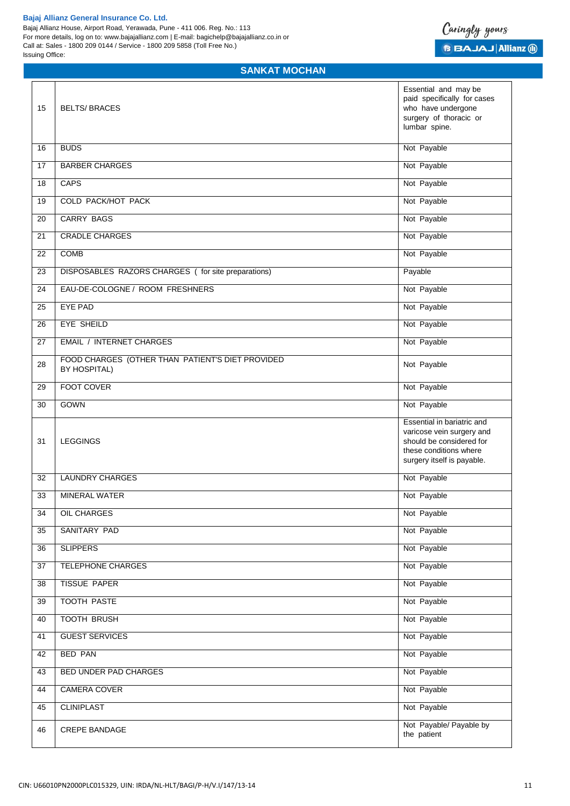Bajaj Allianz House, Airport Road, Yerawada, Pune - 411 006. Reg. No.: 113 For more details, log on to: www.bajajallianz.com | E-mail: bagichelp@bajajallianz.co.in or Call at: Sales - 1800 209 0144 / Service - 1800 209 5858 (Toll Free No.) Issuing Office:

| 15              | <b>BELTS/BRACES</b>                                              | Essential and may be<br>paid specifically for cases<br>who have undergone<br>surgery of thoracic or<br>lumbar spine.                        |
|-----------------|------------------------------------------------------------------|---------------------------------------------------------------------------------------------------------------------------------------------|
| 16              | <b>BUDS</b>                                                      | Not Payable                                                                                                                                 |
| $\overline{17}$ | <b>BARBER CHARGES</b>                                            | Not Payable                                                                                                                                 |
| 18              | CAPS                                                             | Not Payable                                                                                                                                 |
| 19              | COLD PACK/HOT PACK                                               | Not Payable                                                                                                                                 |
| 20              | <b>CARRY BAGS</b>                                                | Not Payable                                                                                                                                 |
| 21              | <b>CRADLE CHARGES</b>                                            | Not Payable                                                                                                                                 |
| 22              | <b>COMB</b>                                                      | Not Payable                                                                                                                                 |
| 23              | DISPOSABLES RAZORS CHARGES (for site preparations)               | Payable                                                                                                                                     |
| 24              | EAU-DE-COLOGNE / ROOM FRESHNERS                                  | Not Payable                                                                                                                                 |
| 25              | <b>EYE PAD</b>                                                   | Not Payable                                                                                                                                 |
| 26              | EYE SHEILD                                                       | Not Payable                                                                                                                                 |
| 27              | <b>EMAIL / INTERNET CHARGES</b>                                  | Not Payable                                                                                                                                 |
| 28              | FOOD CHARGES (OTHER THAN PATIENT'S DIET PROVIDED<br>BY HOSPITAL) | Not Payable                                                                                                                                 |
| 29              | <b>FOOT COVER</b>                                                | Not Payable                                                                                                                                 |
| 30              | <b>GOWN</b>                                                      | Not Payable                                                                                                                                 |
| 31              | <b>LEGGINGS</b>                                                  | Essential in bariatric and<br>varicose vein surgery and<br>should be considered for<br>these conditions where<br>surgery itself is payable. |
| 32              | <b>LAUNDRY CHARGES</b>                                           | Not Payable                                                                                                                                 |
| 33              | MINERAL WATER                                                    | Not Payable                                                                                                                                 |
| 34              | OIL CHARGES                                                      | Not Payable                                                                                                                                 |
| 35              | SANITARY PAD                                                     | Not Payable                                                                                                                                 |
| 36              | <b>SLIPPERS</b>                                                  | Not Payable                                                                                                                                 |
| 37              | <b>TELEPHONE CHARGES</b>                                         | Not Payable                                                                                                                                 |
| 38              | <b>TISSUE PAPER</b>                                              | Not Payable                                                                                                                                 |
| 39              | <b>TOOTH PASTE</b>                                               | Not Payable                                                                                                                                 |
| 40              | <b>TOOTH BRUSH</b>                                               | Not Payable                                                                                                                                 |
| 41              | <b>GUEST SERVICES</b>                                            | Not Payable                                                                                                                                 |
| 42              | <b>BED PAN</b>                                                   | Not Payable                                                                                                                                 |
| 43              | <b>BED UNDER PAD CHARGES</b>                                     | Not Payable                                                                                                                                 |
| 44              | <b>CAMERA COVER</b>                                              | Not Payable                                                                                                                                 |
| 45              | <b>CLINIPLAST</b>                                                | Not Payable                                                                                                                                 |
| 46              | <b>CREPE BANDAGE</b>                                             | Not Payable/ Payable by<br>the patient                                                                                                      |

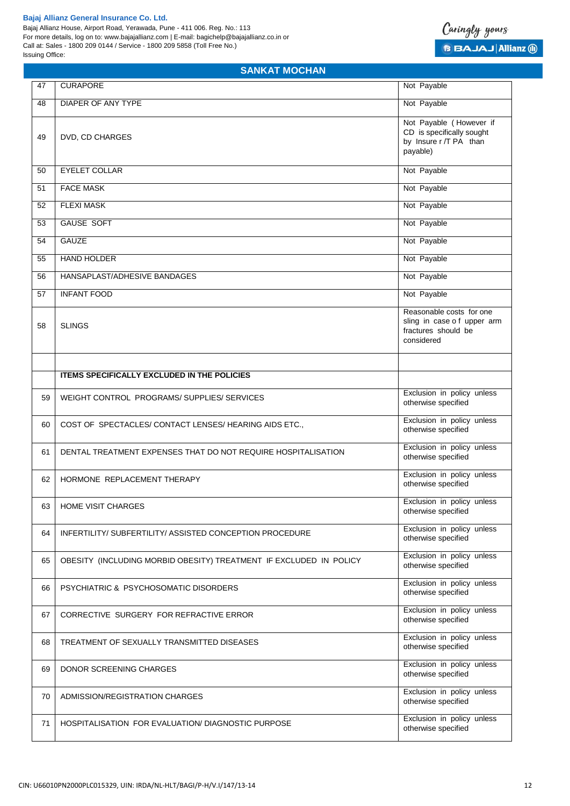Bajaj Allianz House, Airport Road, Yerawada, Pune - 411 006. Reg. No.: 113 For more details, log on to: www.bajajallianz.com | E-mail: bagichelp@bajajallianz.co.in or Call at: Sales - 1800 209 0144 / Service - 1800 209 5858 (Toll Free No.) Issuing Office:



| 47 | <b>CURAPORE</b>                                                    | Not Payable                                                                                 |
|----|--------------------------------------------------------------------|---------------------------------------------------------------------------------------------|
| 48 | DIAPER OF ANY TYPE                                                 | Not Payable                                                                                 |
| 49 | DVD, CD CHARGES                                                    | Not Payable (However if<br>CD is specifically sought<br>by Insure r /T PA than<br>payable)  |
| 50 | <b>EYELET COLLAR</b>                                               | Not Payable                                                                                 |
| 51 | <b>FACE MASK</b>                                                   | Not Payable                                                                                 |
| 52 | <b>FLEXI MASK</b>                                                  | Not Payable                                                                                 |
| 53 | <b>GAUSE SOFT</b>                                                  | Not Payable                                                                                 |
| 54 | <b>GAUZE</b>                                                       | Not Payable                                                                                 |
| 55 | <b>HAND HOLDER</b>                                                 | Not Payable                                                                                 |
| 56 | HANSAPLAST/ADHESIVE BANDAGES                                       | Not Payable                                                                                 |
| 57 | <b>INFANT FOOD</b>                                                 | Not Payable                                                                                 |
| 58 | <b>SLINGS</b>                                                      | Reasonable costs for one<br>sling in case of upper arm<br>fractures should be<br>considered |
|    | <b>ITEMS SPECIFICALLY EXCLUDED IN THE POLICIES</b>                 |                                                                                             |
| 59 | WEIGHT CONTROL PROGRAMS/SUPPLIES/SERVICES                          | Exclusion in policy unless<br>otherwise specified                                           |
| 60 | COST OF SPECTACLES/ CONTACT LENSES/ HEARING AIDS ETC.,             | Exclusion in policy unless<br>otherwise specified                                           |
| 61 | DENTAL TREATMENT EXPENSES THAT DO NOT REQUIRE HOSPITALISATION      | Exclusion in policy unless<br>otherwise specified                                           |
| 62 | HORMONE REPLACEMENT THERAPY                                        | Exclusion in policy unless<br>otherwise specified                                           |
| 63 | HOME VISIT CHARGES                                                 | Exclusion in policy unless<br>otherwise specified                                           |
| 64 | INFERTILITY/ SUBFERTILITY/ ASSISTED CONCEPTION PROCEDURE           | Exclusion in policy unless<br>otherwise specified                                           |
| 65 | OBESITY (INCLUDING MORBID OBESITY) TREATMENT IF EXCLUDED IN POLICY | Exclusion in policy unless<br>otherwise specified                                           |
| 66 | <b>PSYCHIATRIC &amp; PSYCHOSOMATIC DISORDERS</b>                   | Exclusion in policy unless<br>otherwise specified                                           |
| 67 | CORRECTIVE SURGERY FOR REFRACTIVE ERROR                            | Exclusion in policy unless<br>otherwise specified                                           |
| 68 | TREATMENT OF SEXUALLY TRANSMITTED DISEASES                         | Exclusion in policy unless<br>otherwise specified                                           |
| 69 | DONOR SCREENING CHARGES                                            | Exclusion in policy unless<br>otherwise specified                                           |
| 70 | ADMISSION/REGISTRATION CHARGES                                     | Exclusion in policy unless<br>otherwise specified                                           |
| 71 | <b>HOSPITALISATION FOR EVALUATION/ DIAGNOSTIC PURPOSE</b>          | Exclusion in policy unless<br>otherwise specified                                           |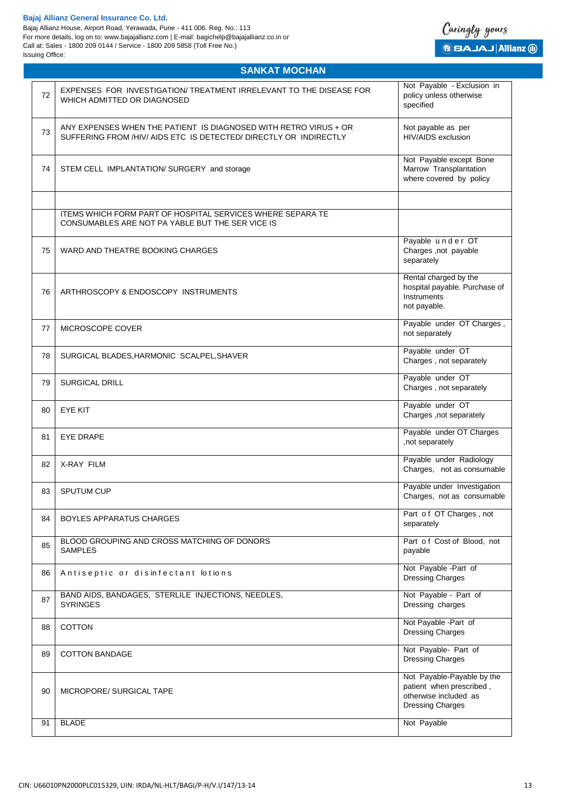Bajaj Allianz House, Airport Road, Yerawada, Pune - 411 006. Reg. No.: 113 For more details, log on to: www.bajajallianz.com | E-mail: bagichelp@bajajallianz.co.in or Call at: Sales - 1800 209 0144 / Service - 1800 209 5858 (Toll Free No.) Issuing Office:

| 72 | EXPENSES FOR INVESTIGATION/ TREATMENT IRRELEVANT TO THE DISEASE FOR<br>WHICH ADMITTED OR DIAGNOSED                                    | Not Payable - Exclusion in<br>policy unless otherwise<br>specified                                         |
|----|---------------------------------------------------------------------------------------------------------------------------------------|------------------------------------------------------------------------------------------------------------|
| 73 | ANY EXPENSES WHEN THE PATIENT IS DIAGNOSED WITH RETRO VIRUS + OR<br>SUFFERING FROM /HIV/ AIDS ETC IS DETECTED/ DIRECTLY OR INDIRECTLY | Not payable as per<br>HIV/AIDS exclusion                                                                   |
| 74 | STEM CELL IMPLANTATION/ SURGERY and storage                                                                                           | Not Payable except Bone<br>Marrow Transplantation<br>where covered by policy                               |
|    | ITEMS WHICH FORM PART OF HOSPITAL SERVICES WHERE SEPARA TE<br>CONSUMABLES ARE NOT PA YABLE BUT THE SER VICE IS                        |                                                                                                            |
| 75 | WARD AND THEATRE BOOKING CHARGES                                                                                                      | Payable under OT<br>Charges , not payable<br>separately                                                    |
| 76 | ARTHROSCOPY & ENDOSCOPY INSTRUMENTS                                                                                                   | Rental charged by the<br>hospital payable. Purchase of<br>Instruments<br>not payable.                      |
| 77 | MICROSCOPE COVER                                                                                                                      | Payable under OT Charges,<br>not separately                                                                |
| 78 | SURGICAL BLADES, HARMONIC SCALPEL, SHAVER                                                                                             | Payable under OT<br>Charges, not separately                                                                |
| 79 | <b>SURGICAL DRILL</b>                                                                                                                 | Payable under OT<br>Charges, not separately                                                                |
| 80 | <b>EYE KIT</b>                                                                                                                        | Payable under OT<br>Charges , not separately                                                               |
| 81 | <b>EYE DRAPE</b>                                                                                                                      | Payable under OT Charges<br>,not separately                                                                |
| 82 | X-RAY FILM                                                                                                                            | Payable under Radiology<br>Charges, not as consumable                                                      |
| 83 | SPUTUM CUP                                                                                                                            | Payable under Investigation<br>Charges, not as consumable                                                  |
| 84 | <b>BOYLES APPARATUS CHARGES</b>                                                                                                       | Part of OT Charges, not<br>separately                                                                      |
| 85 | BLOOD GROUPING AND CROSS MATCHING OF DONORS<br><b>SAMPLES</b>                                                                         | Part of Cost of Blood, not<br>payable                                                                      |
| 86 | Antiseptic or disinfectant lotions                                                                                                    | Not Payable - Part of<br><b>Dressing Charges</b>                                                           |
| 87 | BAND AIDS, BANDAGES, STERLILE INJECTIONS, NEEDLES,<br><b>SYRINGES</b>                                                                 | Not Payable - Part of<br>Dressing charges                                                                  |
| 88 | <b>COTTON</b>                                                                                                                         | Not Payable - Part of<br><b>Dressing Charges</b>                                                           |
| 89 | <b>COTTON BANDAGE</b>                                                                                                                 | Not Payable- Part of<br><b>Dressing Charges</b>                                                            |
| 90 | MICROPORE/ SURGICAL TAPE                                                                                                              | Not Payable-Payable by the<br>patient when prescribed,<br>otherwise included as<br><b>Dressing Charges</b> |
| 91 | <b>BLADE</b>                                                                                                                          | Not Payable                                                                                                |

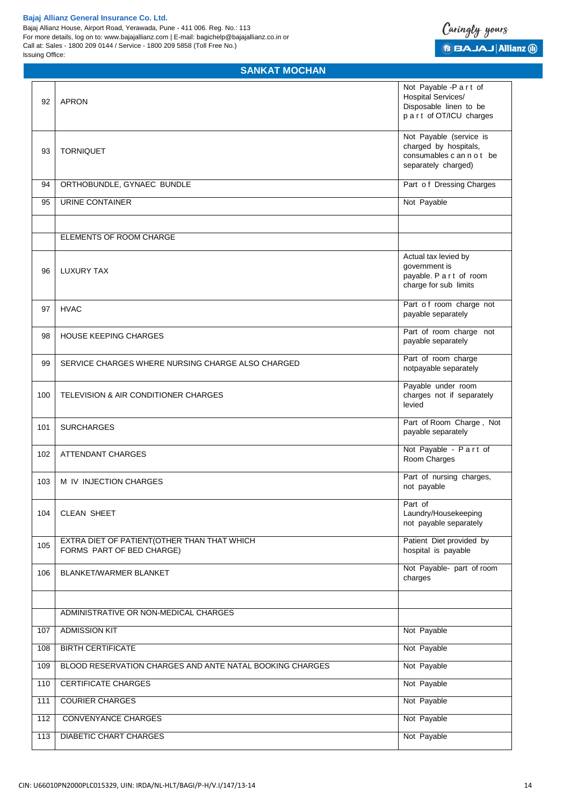Bajaj Allianz House, Airport Road, Yerawada, Pune - 411 006. Reg. No.: 113 For more details, log on to: www.bajajallianz.com | E-mail: bagichelp@bajajallianz.co.in or Call at: Sales - 1800 209 0144 / Service - 1800 209 5858 (Toll Free No.) Issuing Office:

| 92  | <b>APRON</b>                                                              | Not Payable -Part of<br>Hospital Services/<br>Disposable linen to be<br>part of OT/ICU charges       |
|-----|---------------------------------------------------------------------------|------------------------------------------------------------------------------------------------------|
| 93  | <b>TORNIQUET</b>                                                          | Not Payable (service is<br>charged by hospitals,<br>consumables c an n o t be<br>separately charged) |
| 94  | ORTHOBUNDLE, GYNAEC BUNDLE                                                | Part of Dressing Charges                                                                             |
| 95  | URINE CONTAINER                                                           | Not Payable                                                                                          |
|     |                                                                           |                                                                                                      |
|     | ELEMENTS OF ROOM CHARGE                                                   |                                                                                                      |
|     |                                                                           |                                                                                                      |
| 96  | <b>LUXURY TAX</b>                                                         | Actual tax levied by<br>government is<br>payable. P a r t of room<br>charge for sub limits           |
| 97  | <b>HVAC</b>                                                               | Part of room charge not<br>payable separately                                                        |
| 98  | <b>HOUSE KEEPING CHARGES</b>                                              | Part of room charge not<br>payable separately                                                        |
| 99  | SERVICE CHARGES WHERE NURSING CHARGE ALSO CHARGED                         | Part of room charge<br>notpayable separately                                                         |
| 100 | TELEVISION & AIR CONDITIONER CHARGES                                      | Payable under room<br>charges not if separately<br>levied                                            |
| 101 | <b>SURCHARGES</b>                                                         | Part of Room Charge, Not<br>payable separately                                                       |
| 102 | <b>ATTENDANT CHARGES</b>                                                  | Not Payable - Part of<br>Room Charges                                                                |
| 103 | M IV INJECTION CHARGES                                                    | Part of nursing charges,<br>not payable                                                              |
| 104 | <b>CLEAN SHEET</b>                                                        | Part of<br>Laundry/Housekeeping<br>not payable separately                                            |
| 105 | EXTRA DIET OF PATIENT (OTHER THAN THAT WHICH<br>FORMS PART OF BED CHARGE) | Patient Diet provided by<br>hospital is payable                                                      |
| 106 | <b>BLANKET/WARMER BLANKET</b>                                             | Not Payable- part of room<br>charges                                                                 |
|     |                                                                           |                                                                                                      |
|     | ADMINISTRATIVE OR NON-MEDICAL CHARGES                                     |                                                                                                      |
| 107 | <b>ADMISSION KIT</b>                                                      | Not Payable                                                                                          |
| 108 | <b>BIRTH CERTIFICATE</b>                                                  | Not Payable                                                                                          |
| 109 | BLOOD RESERVATION CHARGES AND ANTE NATAL BOOKING CHARGES                  | Not Payable                                                                                          |
| 110 | <b>CERTIFICATE CHARGES</b>                                                | Not Payable                                                                                          |
| 111 | <b>COURIER CHARGES</b>                                                    | Not Payable                                                                                          |
| 112 | <b>CONVENYANCE CHARGES</b>                                                | Not Payable                                                                                          |
| 113 | <b>DIABETIC CHART CHARGES</b>                                             | Not Payable                                                                                          |

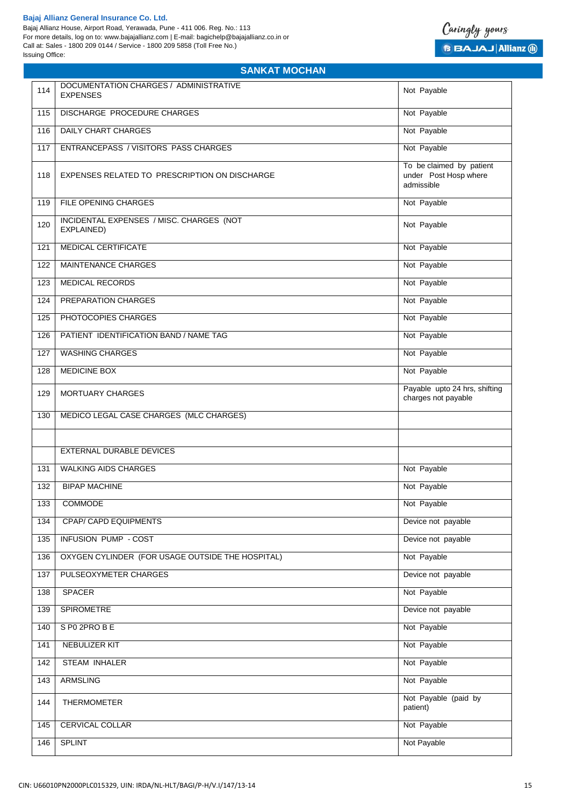Bajaj Allianz House, Airport Road, Yerawada, Pune - 411 006. Reg. No.: 113 For more details, log on to: www.bajajallianz.com | E-mail: bagichelp@bajajallianz.co.in or Call at: Sales - 1800 209 0144 / Service - 1800 209 5858 (Toll Free No.) Issuing Office:



| 114 | DOCUMENTATION CHARGES / ADMINISTRATIVE<br><b>EXPENSES</b> | Not Payable                                                     |
|-----|-----------------------------------------------------------|-----------------------------------------------------------------|
| 115 | DISCHARGE PROCEDURE CHARGES                               | Not Payable                                                     |
| 116 | <b>DAILY CHART CHARGES</b>                                | Not Payable                                                     |
| 117 | ENTRANCEPASS / VISITORS PASS CHARGES                      | Not Payable                                                     |
| 118 | EXPENSES RELATED TO PRESCRIPTION ON DISCHARGE             | To be claimed by patient<br>under Post Hosp where<br>admissible |
| 119 | FILE OPENING CHARGES                                      | Not Payable                                                     |
| 120 | INCIDENTAL EXPENSES / MISC. CHARGES (NOT<br>EXPLAINED)    | Not Payable                                                     |
| 121 | <b>MEDICAL CERTIFICATE</b>                                | Not Payable                                                     |
| 122 | MAINTENANCE CHARGES                                       | Not Payable                                                     |
| 123 | <b>MEDICAL RECORDS</b>                                    | Not Payable                                                     |
| 124 | PREPARATION CHARGES                                       | Not Payable                                                     |
| 125 | PHOTOCOPIES CHARGES                                       | Not Payable                                                     |
| 126 | PATIENT IDENTIFICATION BAND / NAME TAG                    | Not Payable                                                     |
| 127 | <b>WASHING CHARGES</b>                                    | Not Payable                                                     |
| 128 | <b>MEDICINE BOX</b>                                       | Not Payable                                                     |
| 129 | <b>MORTUARY CHARGES</b>                                   | Payable upto 24 hrs, shifting<br>charges not payable            |
| 130 | MEDICO LEGAL CASE CHARGES (MLC CHARGES)                   |                                                                 |
|     |                                                           |                                                                 |
|     | <b>EXTERNAL DURABLE DEVICES</b>                           |                                                                 |
| 131 | <b>WALKING AIDS CHARGES</b>                               | Not Payable                                                     |
| 132 | <b>BIPAP MACHINE</b>                                      | Not Payable                                                     |
| 133 | COMMODE                                                   | Not Payable                                                     |
| 134 | <b>CPAP/ CAPD EQUIPMENTS</b>                              | Device not payable                                              |
| 135 | <b>INFUSION PUMP - COST</b>                               | Device not payable                                              |
| 136 | OXYGEN CYLINDER (FOR USAGE OUTSIDE THE HOSPITAL)          | Not Payable                                                     |
| 137 | PULSEOXYMETER CHARGES                                     | Device not payable                                              |
| 138 | <b>SPACER</b>                                             | Not Payable                                                     |
| 139 | <b>SPIROMETRE</b>                                         | Device not payable                                              |
| 140 | S P0 2PRO B E                                             | Not Payable                                                     |
| 141 | <b>NEBULIZER KIT</b>                                      | Not Payable                                                     |
| 142 | <b>STEAM INHALER</b>                                      | Not Payable                                                     |
| 143 | <b>ARMSLING</b>                                           | Not Payable                                                     |
| 144 | <b>THERMOMETER</b>                                        | Not Payable (paid by<br>patient)                                |
| 145 | CERVICAL COLLAR                                           | Not Payable                                                     |
| 146 | <b>SPLINT</b>                                             | Not Payable                                                     |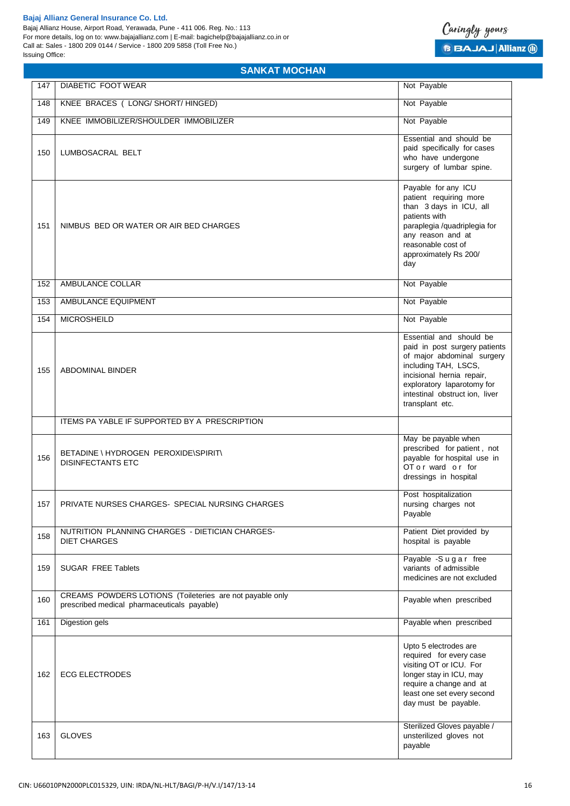Bajaj Allianz House, Airport Road, Yerawada, Pune - 411 006. Reg. No.: 113 For more details, log on to: www.bajajallianz.com | E-mail: bagichelp@bajajallianz.co.in or Call at: Sales - 1800 209 0144 / Service - 1800 209 5858 (Toll Free No.) Issuing Office:



| 147 | DIABETIC FOOT WEAR                                                                                      | Not Payable                                                                                                                                                                                                                    |
|-----|---------------------------------------------------------------------------------------------------------|--------------------------------------------------------------------------------------------------------------------------------------------------------------------------------------------------------------------------------|
| 148 | KNEE BRACES ( LONG/ SHORT/ HINGED)                                                                      | Not Payable                                                                                                                                                                                                                    |
| 149 | KNEE IMMOBILIZER/SHOULDER IMMOBILIZER                                                                   | Not Payable                                                                                                                                                                                                                    |
| 150 | LUMBOSACRAL BELT                                                                                        | Essential and should be<br>paid specifically for cases<br>who have undergone<br>surgery of lumbar spine.                                                                                                                       |
| 151 | NIMBUS BED OR WATER OR AIR BED CHARGES                                                                  | Payable for any ICU<br>patient requiring more<br>than 3 days in ICU, all<br>patients with<br>paraplegia /quadriplegia for<br>any reason and at<br>reasonable cost of<br>approximately Rs 200/<br>day                           |
| 152 | <b>AMBULANCE COLLAR</b>                                                                                 | Not Payable                                                                                                                                                                                                                    |
| 153 | AMBULANCE EQUIPMENT                                                                                     | Not Payable                                                                                                                                                                                                                    |
| 154 | <b>MICROSHEILD</b>                                                                                      | Not Payable                                                                                                                                                                                                                    |
| 155 | ABDOMINAL BINDER                                                                                        | Essential and should be<br>paid in post surgery patients<br>of major abdominal surgery<br>including TAH, LSCS,<br>incisional hernia repair,<br>exploratory laparotomy for<br>intestinal obstruct ion, liver<br>transplant etc. |
|     | ITEMS PA YABLE IF SUPPORTED BY A PRESCRIPTION                                                           |                                                                                                                                                                                                                                |
| 156 | BETADINE \ HYDROGEN PEROXIDE\SPIRIT\<br><b>DISINFECTANTS ETC</b>                                        | May be payable when<br>prescribed for patient, not<br>payable for hospital use in<br>OT or ward or for<br>dressings in hospital                                                                                                |
| 157 | PRIVATE NURSES CHARGES- SPECIAL NURSING CHARGES                                                         | Post hospitalization<br>nursing charges not<br>Payable                                                                                                                                                                         |
| 158 | NUTRITION PLANNING CHARGES - DIETICIAN CHARGES-<br><b>DIET CHARGES</b>                                  | Patient Diet provided by<br>hospital is payable                                                                                                                                                                                |
| 159 | <b>SUGAR FREE Tablets</b>                                                                               | Payable -Sugar free<br>variants of admissible<br>medicines are not excluded                                                                                                                                                    |
| 160 | CREAMS POWDERS LOTIONS (Toileteries are not payable only<br>prescribed medical pharmaceuticals payable) | Payable when prescribed                                                                                                                                                                                                        |
| 161 | <b>Digestion gels</b>                                                                                   | Payable when prescribed                                                                                                                                                                                                        |
| 162 | <b>ECG ELECTRODES</b>                                                                                   | Upto 5 electrodes are<br>required for every case<br>visiting OT or ICU. For<br>longer stay in ICU, may<br>require a change and at<br>least one set every second<br>day must be payable.                                        |
| 163 | <b>GLOVES</b>                                                                                           | Sterilized Gloves payable /<br>unsterilized gloves not<br>payable                                                                                                                                                              |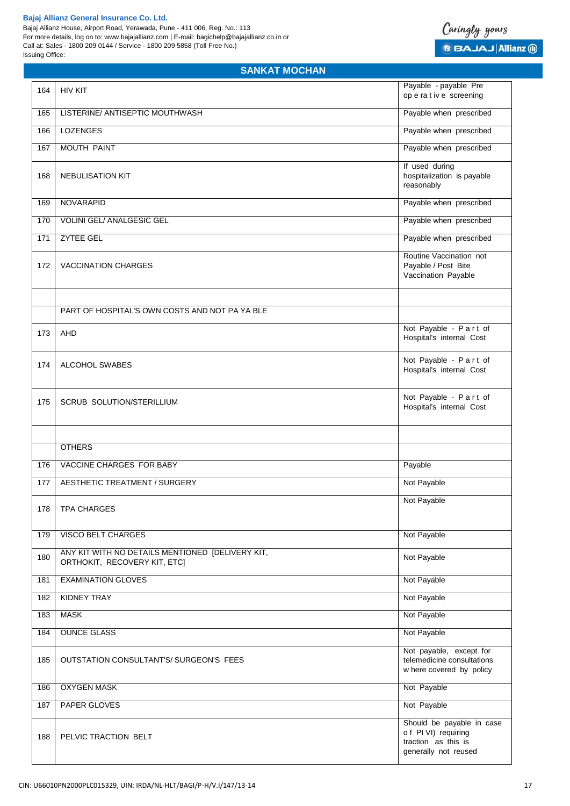Bajaj Allianz House, Airport Road, Yerawada, Pune - 411 006. Reg. No.: 113 For more details, log on to: www.bajajallianz.com | E-mail: bagichelp@bajajallianz.co.in or Call at: Sales - 1800 209 0144 / Service - 1800 209 5858 (Toll Free No.) Issuing Office:

| 164 | <b>HIV KIT</b>                                                                   | Payable - payable Pre<br>op e ra t iv e screening                                               |
|-----|----------------------------------------------------------------------------------|-------------------------------------------------------------------------------------------------|
| 165 | LISTERINE/ ANTISEPTIC MOUTHWASH                                                  | Payable when prescribed                                                                         |
| 166 | <b>LOZENGES</b>                                                                  | Payable when prescribed                                                                         |
| 167 | <b>MOUTH PAINT</b>                                                               | Payable when prescribed                                                                         |
| 168 | <b>NEBULISATION KIT</b>                                                          | If used during<br>hospitalization is payable<br>reasonably                                      |
| 169 | <b>NOVARAPID</b>                                                                 | Payable when prescribed                                                                         |
| 170 | <b>VOLINI GEL/ ANALGESIC GEL</b>                                                 | Payable when prescribed                                                                         |
| 171 | <b>ZYTEE GEL</b>                                                                 | Payable when prescribed                                                                         |
| 172 | <b>VACCINATION CHARGES</b>                                                       | Routine Vaccination not<br>Payable / Post Bite<br>Vaccination Payable                           |
|     | PART OF HOSPITAL'S OWN COSTS AND NOT PA YA BLE                                   |                                                                                                 |
| 173 | AHD                                                                              | Not Payable - Part of<br>Hospital's internal Cost                                               |
| 174 | <b>ALCOHOL SWABES</b>                                                            | Not Payable - Part of<br>Hospital's internal Cost                                               |
| 175 | <b>SCRUB SOLUTION/STERILLIUM</b>                                                 | Not Payable - Part of<br>Hospital's internal Cost                                               |
|     | <b>OTHERS</b>                                                                    |                                                                                                 |
| 176 | VACCINE CHARGES FOR BABY                                                         | Payable                                                                                         |
| 177 | <b>AESTHETIC TREATMENT / SURGERY</b>                                             | Not Payable                                                                                     |
|     | 178   TPA CHARGES                                                                | Not Payable                                                                                     |
| 179 | <b>VISCO BELT CHARGES</b>                                                        | Not Payable                                                                                     |
| 180 | ANY KIT WITH NO DETAILS MENTIONED [DELIVERY KIT,<br>ORTHOKIT, RECOVERY KIT, ETC] | Not Payable                                                                                     |
| 181 | <b>EXAMINATION GLOVES</b>                                                        | Not Payable                                                                                     |
| 182 | <b>KIDNEY TRAY</b>                                                               | Not Payable                                                                                     |
| 183 | <b>MASK</b>                                                                      | Not Payable                                                                                     |
| 184 | <b>OUNCE GLASS</b>                                                               | Not Payable                                                                                     |
| 185 | <b>OUTSTATION CONSULTANT'S/ SURGEON'S FEES</b>                                   | Not payable, except for<br>telemedicine consultations<br>w here covered by policy               |
| 186 | <b>OXYGEN MASK</b>                                                               | Not Payable                                                                                     |
| 187 | PAPER GLOVES                                                                     | Not Payable                                                                                     |
| 188 | PELVIC TRACTION BELT                                                             | Should be payable in case<br>of PI VI) requiring<br>traction as this is<br>generally not reused |

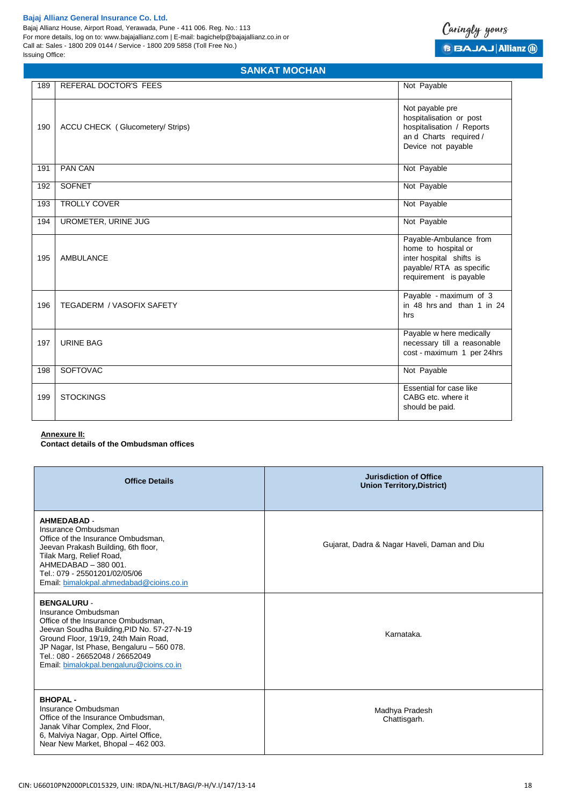Bajaj Allianz House, Airport Road, Yerawada, Pune - 411 006. Reg. No.: 113 For more details, log on to: www.bajajallianz.com | E-mail: bagichelp@bajajallianz.co.in or Call at: Sales - 1800 209 0144 / Service - 1800 209 5858 (Toll Free No.) Issuing Office:

## **SANKAT MOCHAN**

Caringly yours

**B BAJAJ Allianz @** 

| 189 | REFERAL DOCTOR'S FEES            | Not Payable                                                                                                                     |
|-----|----------------------------------|---------------------------------------------------------------------------------------------------------------------------------|
| 190 | ACCU CHECK (Glucometery/Strips)  | Not payable pre<br>hospitalisation or post<br>hospitalisation / Reports<br>an d Charts required /<br>Device not payable         |
| 191 | <b>PAN CAN</b>                   | Not Payable                                                                                                                     |
| 192 | <b>SOFNET</b>                    | Not Payable                                                                                                                     |
| 193 | TROLLY COVER                     | Not Payable                                                                                                                     |
| 194 | UROMETER, URINE JUG              | Not Payable                                                                                                                     |
| 195 | AMBULANCE                        | Payable-Ambulance from<br>home to hospital or<br>inter hospital shifts is<br>payable/ RTA as specific<br>requirement is payable |
| 196 | <b>TEGADERM / VASOFIX SAFETY</b> | Payable - maximum of 3<br>in 48 hrs and than 1 in 24<br>hrs                                                                     |
| 197 | <b>URINE BAG</b>                 | Payable w here medically<br>necessary till a reasonable<br>cost - maximum 1 per 24hrs                                           |
| 198 | <b>SOFTOVAC</b>                  | Not Payable                                                                                                                     |
| 199 | <b>STOCKINGS</b>                 | Essential for case like<br>CABG etc. where it<br>should be paid.                                                                |

## **Annexure II:**

**Contact details of the Ombudsman offices**

| <b>Office Details</b>                                                                                                                                                                                                                                                                             | <b>Jurisdiction of Office</b><br><b>Union Territory, District)</b> |
|---------------------------------------------------------------------------------------------------------------------------------------------------------------------------------------------------------------------------------------------------------------------------------------------------|--------------------------------------------------------------------|
| <b>AHMEDABAD -</b><br>Insurance Ombudsman<br>Office of the Insurance Ombudsman.<br>Jeevan Prakash Building, 6th floor,<br>Tilak Marg, Relief Road,<br>AHMEDABAD - 380 001.<br>Tel.: 079 - 25501201/02/05/06<br>Email: bimalokpal.ahmedabad@cioins.co.in                                           | Gujarat, Dadra & Nagar Haveli, Daman and Diu                       |
| <b>BENGALURU -</b><br>Insurance Ombudsman<br>Office of the Insurance Ombudsman,<br>Jeevan Soudha Building, PID No. 57-27-N-19<br>Ground Floor, 19/19, 24th Main Road,<br>JP Nagar, Ist Phase, Bengaluru - 560 078.<br>Tel.: 080 - 26652048 / 26652049<br>Email: bimalokpal.bengaluru@cioins.co.in | Karnataka.                                                         |
| <b>BHOPAL-</b><br>Insurance Ombudsman<br>Office of the Insurance Ombudsman.<br>Janak Vihar Complex, 2nd Floor,<br>6, Malviya Nagar, Opp. Airtel Office,<br>Near New Market, Bhopal - 462 003.                                                                                                     | Madhya Pradesh<br>Chattisgarh.                                     |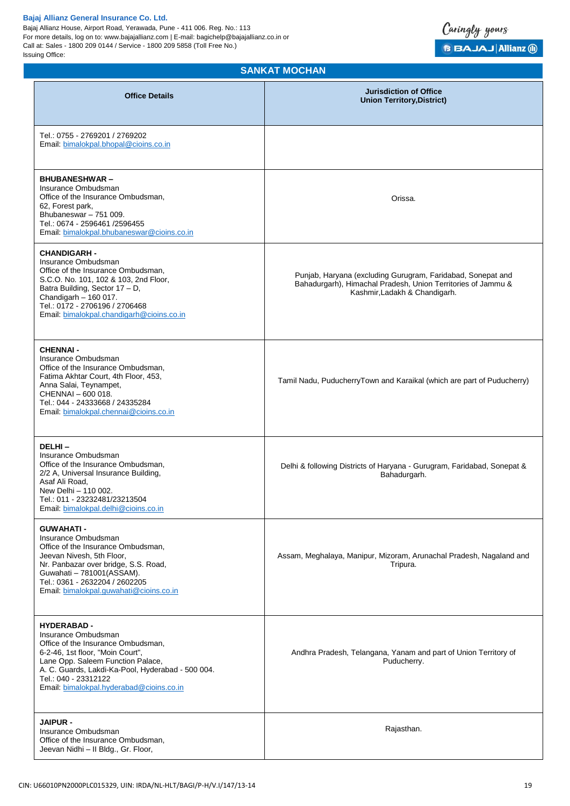Bajaj Allianz House, Airport Road, Yerawada, Pune - 411 006. Reg. No.: 113 For more details, log on to: www.bajajallianz.com | E-mail: bagichelp@bajajallianz.co.in or Call at: Sales - 1800 209 0144 / Service - 1800 209 5858 (Toll Free No.) Issuing Office:

## **SANKAT MOCHAN**

Caringly yours

**B BAJAJ Allianz (ii)** 

| <b>Office Details</b>                                                                                                                                                                                                                                                             | Jurisdiction of Office<br><b>Union Territory, District)</b>                                                                                                  |
|-----------------------------------------------------------------------------------------------------------------------------------------------------------------------------------------------------------------------------------------------------------------------------------|--------------------------------------------------------------------------------------------------------------------------------------------------------------|
| Tel.: 0755 - 2769201 / 2769202<br>Email: bimalokpal.bhopal@cioins.co.in                                                                                                                                                                                                           |                                                                                                                                                              |
| <b>BHUBANESHWAR-</b><br>Insurance Ombudsman<br>Office of the Insurance Ombudsman,<br>62, Forest park,<br>Bhubaneswar - 751 009.<br>Tel.: 0674 - 2596461 /2596455<br>Email: bimalokpal.bhubaneswar@cioins.co.in                                                                    | Orissa.                                                                                                                                                      |
| <b>CHANDIGARH -</b><br>Insurance Ombudsman<br>Office of the Insurance Ombudsman,<br>S.C.O. No. 101, 102 & 103, 2nd Floor,<br>Batra Building, Sector 17 - D,<br>Chandigarh $-160$ 017.<br>Tel.: 0172 - 2706196 / 2706468<br>Email: bimalokpal.chandigarh@cioins.co.in              | Punjab, Haryana (excluding Gurugram, Faridabad, Sonepat and<br>Bahadurgarh), Himachal Pradesh, Union Territories of Jammu &<br>Kashmir, Ladakh & Chandigarh. |
| <b>CHENNAI-</b><br>Insurance Ombudsman<br>Office of the Insurance Ombudsman,<br>Fatima Akhtar Court, 4th Floor, 453,<br>Anna Salai, Teynampet,<br>CHENNAI - 600 018.<br>Tel.: 044 - 24333668 / 24335284<br>Email: bimalokpal.chennai@cioins.co.in                                 | Tamil Nadu, PuducherryTown and Karaikal (which are part of Puducherry)                                                                                       |
| DELHI-<br>Insurance Ombudsman<br>Office of the Insurance Ombudsman,<br>2/2 A, Universal Insurance Building,<br>Asaf Ali Road,<br>New Delhi - 110 002.<br>Tel.: 011 - 23232481/23213504<br>Email: bimalokpal.delhi@cioins.co.in                                                    | Delhi & following Districts of Haryana - Gurugram, Faridabad, Sonepat &<br>Bahadurgarh.                                                                      |
| <b>GUWAHATI -</b><br>Insurance Ombudsman<br>Office of the Insurance Ombudsman,<br>Jeevan Nivesh, 5th Floor,<br>Nr. Panbazar over bridge, S.S. Road,<br>Guwahati - 781001(ASSAM).<br>Tel.: 0361 - 2632204 / 2602205<br>Email: bimalokpal.quwahati@cioins.co.in                     | Assam, Meghalaya, Manipur, Mizoram, Arunachal Pradesh, Nagaland and<br>Tripura.                                                                              |
| <b>HYDERABAD -</b><br>Insurance Ombudsman<br>Office of the Insurance Ombudsman,<br>6-2-46, 1st floor, "Moin Court",<br>Lane Opp. Saleem Function Palace,<br>A. C. Guards, Lakdi-Ka-Pool, Hyderabad - 500 004.<br>Tel.: 040 - 23312122<br>Email: bimalokpal.hyderabad@cioins.co.in | Andhra Pradesh, Telangana, Yanam and part of Union Territory of<br>Puducherry.                                                                               |
| <b>JAIPUR -</b><br>Insurance Ombudsman<br>Office of the Insurance Ombudsman,<br>Jeevan Nidhi - Il Bldg., Gr. Floor,                                                                                                                                                               | Rajasthan.                                                                                                                                                   |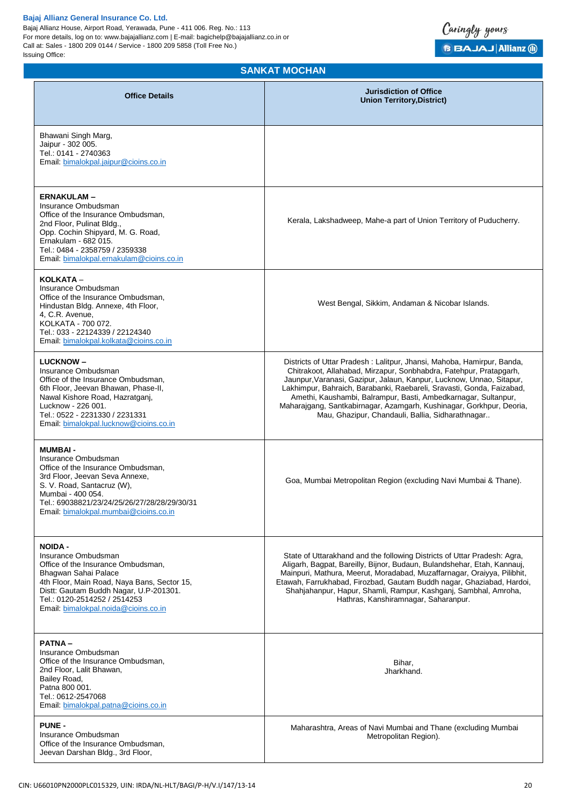Bajaj Allianz House, Airport Road, Yerawada, Pune - 411 006. Reg. No.: 113 For more details, log on to: www.bajajallianz.com | E-mail: bagichelp@bajajallianz.co.in or Call at: Sales - 1800 209 0144 / Service - 1800 209 5858 (Toll Free No.) Issuing Office:



| <b>Office Details</b>                                                                                                                                                                                                                                                | <b>Jurisdiction of Office</b><br><b>Union Territory, District)</b>                                                                                                                                                                                                                                                                                                                                                                                                                          |
|----------------------------------------------------------------------------------------------------------------------------------------------------------------------------------------------------------------------------------------------------------------------|---------------------------------------------------------------------------------------------------------------------------------------------------------------------------------------------------------------------------------------------------------------------------------------------------------------------------------------------------------------------------------------------------------------------------------------------------------------------------------------------|
| Bhawani Singh Marg,<br>Jaipur - 302 005.<br>Tel.: 0141 - 2740363<br>Email: bimalokpal.jaipur@cioins.co.in                                                                                                                                                            |                                                                                                                                                                                                                                                                                                                                                                                                                                                                                             |
| <b>ERNAKULAM-</b><br>Insurance Ombudsman<br>Office of the Insurance Ombudsman,<br>2nd Floor, Pulinat Bldg.,<br>Opp. Cochin Shipyard, M. G. Road,<br>Ernakulam - 682 015.<br>Tel.: 0484 - 2358759 / 2359338<br>Email: bimalokpal.ernakulam@cioins.co.in               | Kerala, Lakshadweep, Mahe-a part of Union Territory of Puducherry.                                                                                                                                                                                                                                                                                                                                                                                                                          |
| KOLKATA -<br>Insurance Ombudsman<br>Office of the Insurance Ombudsman,<br>Hindustan Bldg. Annexe, 4th Floor,<br>4, C.R. Avenue,<br>KOLKATA - 700 072.<br>Tel.: 033 - 22124339 / 22124340<br>Email: bimalokpal.kolkata@cioins.co.in                                   | West Bengal, Sikkim, Andaman & Nicobar Islands.                                                                                                                                                                                                                                                                                                                                                                                                                                             |
| <b>LUCKNOW-</b><br>Insurance Ombudsman<br>Office of the Insurance Ombudsman,<br>6th Floor, Jeevan Bhawan, Phase-II,<br>Nawal Kishore Road, Hazratganj,<br>Lucknow - 226 001.<br>Tel.: 0522 - 2231330 / 2231331<br>Email: bimalokpal.lucknow@cioins.co.in             | Districts of Uttar Pradesh: Lalitpur, Jhansi, Mahoba, Hamirpur, Banda,<br>Chitrakoot, Allahabad, Mirzapur, Sonbhabdra, Fatehpur, Pratapgarh,<br>Jaunpur, Varanasi, Gazipur, Jalaun, Kanpur, Lucknow, Unnao, Sitapur,<br>Lakhimpur, Bahraich, Barabanki, Raebareli, Sravasti, Gonda, Faizabad,<br>Amethi, Kaushambi, Balrampur, Basti, Ambedkarnagar, Sultanpur,<br>Maharajgang, Santkabirnagar, Azamgarh, Kushinagar, Gorkhpur, Deoria,<br>Mau, Ghazipur, Chandauli, Ballia, Sidharathnagar |
| <b>MUMBAI-</b><br>Insurance Ombudsman<br>Office of the Insurance Ombudsman,<br>3rd Floor, Jeevan Seva Annexe,<br>S. V. Road, Santacruz (W),<br>Mumbai - 400 054.<br>Tel.: 69038821/23/24/25/26/27/28/28/29/30/31<br>Email: bimalokpal.mumbai@cioins.co.in            | Goa, Mumbai Metropolitan Region (excluding Navi Mumbai & Thane).                                                                                                                                                                                                                                                                                                                                                                                                                            |
| <b>NOIDA -</b><br>Insurance Ombudsman<br>Office of the Insurance Ombudsman,<br>Bhagwan Sahai Palace<br>4th Floor, Main Road, Naya Bans, Sector 15,<br>Distt: Gautam Buddh Nagar, U.P-201301.<br>Tel.: 0120-2514252 / 2514253<br>Email: bimalokpal.noida@cioins.co.in | State of Uttarakhand and the following Districts of Uttar Pradesh: Agra,<br>Aligarh, Bagpat, Bareilly, Bijnor, Budaun, Bulandshehar, Etah, Kannauj,<br>Mainpuri, Mathura, Meerut, Moradabad, Muzaffarnagar, Oraiyya, Pilibhit,<br>Etawah, Farrukhabad, Firozbad, Gautam Buddh nagar, Ghaziabad, Hardoi,<br>Shahjahanpur, Hapur, Shamli, Rampur, Kashganj, Sambhal, Amroha,<br>Hathras, Kanshiramnagar, Saharanpur.                                                                          |
| <b>PATNA-</b><br>Insurance Ombudsman<br>Office of the Insurance Ombudsman,<br>2nd Floor, Lalit Bhawan,<br>Bailey Road,<br>Patna 800 001.<br>Tel.: 0612-2547068<br>Email: bimalokpal.patna@cioins.co.in                                                               | Bihar,<br>Jharkhand.                                                                                                                                                                                                                                                                                                                                                                                                                                                                        |
| <b>PUNE -</b><br>Insurance Ombudsman<br>Office of the Insurance Ombudsman,<br>Jeevan Darshan Bldg., 3rd Floor,                                                                                                                                                       | Maharashtra, Areas of Navi Mumbai and Thane (excluding Mumbai<br>Metropolitan Region).                                                                                                                                                                                                                                                                                                                                                                                                      |